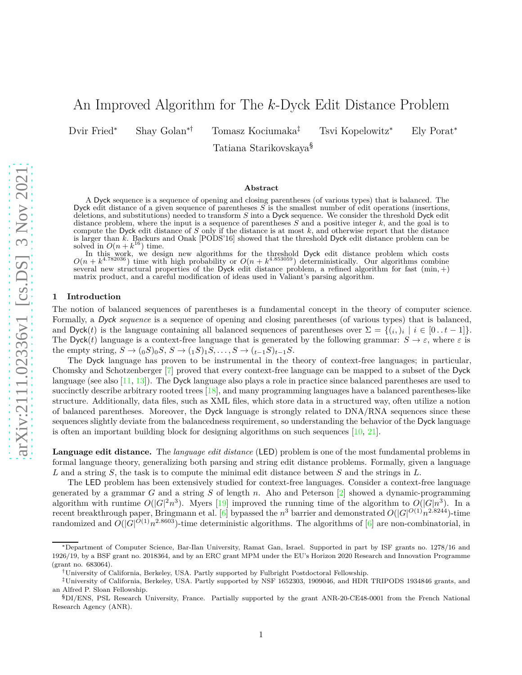# An Improved Algorithm for The *k*-Dyck Edit Distance Problem

Dvir Fried<sup>∗</sup> Shay Golan∗† Tomasz Kociumaka‡ Tsvi Kopelowitz<sup>∗</sup> Ely Porat<sup>∗</sup>

Tatiana Starikovskaya§

### **Abstract**

A Dyck sequence is a sequence of opening and closing parentheses (of various types) that is balanced. The Dyck edit distance of a given sequence of parentheses *S* is the smallest number of edit operations (insertions, deletions, and substitutions) needed to transform *S* into a Dyck sequence. We consider the threshold Dyck edit distance problem, where the input is a sequence of parentheses *S* and a positive integer *k*, and the goal is to compute the Dyck edit distance of *S* only if the distance is at most *k*, and otherwise report that the distance is larger than *k*. Backurs and Onak [PODS'16] showed that the threshold Dyck edit distance problem can be solved in  $O(n + k^{16})$  time.

In this work, we design new algorithms for the threshold Dyck edit distance problem which costs  $O(n + k^{4.782036})$  time with high probability or  $O(n + k^{4.853059})$  deterministically. Our algorithms combine several new structural properties of the Dyck edit distance problem, a refined algorithm for fast (min*,* +) matrix product, and a careful modification of ideas used in Valiant's parsing algorithm.

### **1 Introduction**

The notion of balanced sequences of parentheses is a fundamental concept in the theory of computer science. Formally, a Dyck *sequence* is a sequence of opening and closing parentheses (of various types) that is balanced, and  $\text{Dyck}(t)$  is the language containing all balanced sequences of parentheses over  $\Sigma = \{(i, j_i \mid i \in [0..t-1]\}.$ The Dyck(*t*) language is a context-free language that is generated by the following grammar:  $S \to \varepsilon$ , where  $\varepsilon$  is the empty string, *S* →  $(_{0}S)_{0}S$ , *S* →  $(_{1}S)_{1}S$ , ..., *S* →  $(_{t-1}S)_{t-1}S$ .

The Dyck language has proven to be instrumental in the theory of context-free languages; in particular, Chomsky and Schotzenberger [\[7\]](#page-18-0) proved that every context-free language can be mapped to a subset of the Dyck language (see also [\[11,](#page-18-1) 13]). The Dyck language also plays a role in practice since balanced parentheses are used to succinctly describe arbitrary rooted trees [\[18\]](#page-19-0), and many programming languages have a balanced parentheses-like structure. Additionally, data files, such as XML files, which store data in a structured way, often utilize a notion of balanced parentheses. Moreover, the Dyck language is strongly related to DNA/RNA sequences since these sequences slightly deviate from the balancedness requirement, so understanding the behavior of the Dyck language is often an important building block for designing algorithms on such sequences  $[10, 21]$ .

**Language edit distance.** The *language edit distance* (LED) problem is one of the most fundamental problems in formal language theory, generalizing both parsing and string edit distance problems. Formally, given a language *L* and a string *S*, the task is to compute the minimal edit distance between *S* and the strings in *L*.

The LED problem has been extensively studied for context-free languages. Consider a context-free language generated by a grammar *G* and a string *S* of length *n*. Aho and Peterson [2] showed a dynamic-programming algorithm with runtime  $O(|G|^2 n^3)$ . Myers [\[19\]](#page-19-1) improved the running time of the algorithm to  $O(|G|n^3)$ . In a recent breakthrough paper, Bringmann et al. [\[6\]](#page-18-3) bypassed the  $n^3$  barrier and demonstrated  $O(|G|^{O(1)}n^{2.8244})$ -time randomized and  $O(|G|^{O(1)}n^{2.8603})$ -time deterministic algorithms. The algorithms of [\[6\]](#page-18-3) are non-combinatorial, in

<sup>∗</sup>Department of Computer Science, Bar-Ilan University, Ramat Gan, Israel. Supported in part by ISF grants no. 1278/16 and 1926/19, by a BSF grant no. 2018364, and by an ERC grant MPM under the EU's Horizon 2020 Research and Innovation Programme (grant no. 683064).

<sup>†</sup>University of California, Berkeley, USA. Partly supported by Fulbright Postdoctoral Fellowship.

<sup>‡</sup>University of California, Berkeley, USA. Partly supported by NSF 1652303, 1909046, and HDR TRIPODS 1934846 grants, and an Alfred P. Sloan Fellowship.

<sup>§</sup>DI/ENS, PSL Research University, France. Partially supported by the grant ANR-20-CE48-0001 from the French National Research Agency (ANR).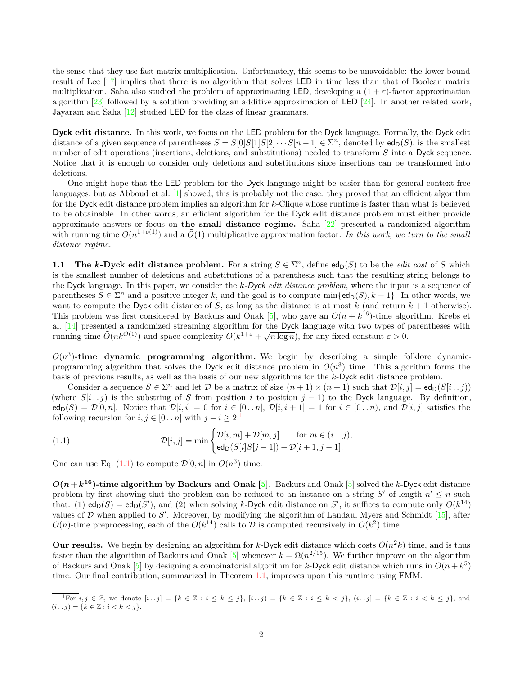the sense that they use fast matrix multiplication. Unfortunately, this seems to be unavoidable: the lower bound result of Lee [17] implies that there is no algorithm that solves LED in time less than that of Boolean matrix multiplication. Saha also studied the problem of approximating LED, developing a  $(1 + \varepsilon)$ -factor approximation algorithm [\[23\]](#page-19-2) followed by a solution providing an additive approximation of LED [\[24\]](#page-19-3). In another related work, Jayaram and Saha [\[12\]](#page-18-4) studied LED for the class of linear grammars.

**Dyck edit distance.** In this work, we focus on the LED problem for the Dyck language. Formally, the Dyck edit distance of a given sequence of parentheses  $S = S[0]S[1]S[2] \cdots S[n-1] \in \Sigma<sup>n</sup>$ , denoted by  $ed_D(S)$ , is the smallest number of edit operations (insertions, deletions, and substitutions) needed to transform *S* into a Dyck sequence. Notice that it is enough to consider only deletions and substitutions since insertions can be transformed into deletions.

One might hope that the LED problem for the Dyck language might be easier than for general context-free languages, but as Abboud et al. [1] showed, this is probably not the case: they proved that an efficient algorithm for the Dyck edit distance problem implies an algorithm for *k*-Clique whose runtime is faster than what is believed to be obtainable. In other words, an efficient algorithm for the Dyck edit distance problem must either provide approximate answers or focus on **the small distance regime.** Saha [\[22\]](#page-19-4) presented a randomized algorithm with running time  $O(n^{1+o(1)})$  and a  $\tilde{O}(1)$  multiplicative approximation factor. *In this work, we turn to the small distance regime.*

**1.1** The *k***-Dyck edit distance problem.** For a string  $S \in \Sigma^n$ , define  $ed_D(S)$  to be the *edit cost* of *S* which is the smallest number of deletions and substitutions of a parenthesis such that the resulting string belongs to the Dyck language. In this paper, we consider the *k-*Dyck *edit distance problem*, where the input is a sequence of parentheses  $S \in \Sigma^n$  and a positive integer k, and the goal is to compute  $\min\{\text{ed}_D(S), k+1\}$ . In other words, we want to compute the Dyck edit distance of *S*, as long as the distance is at most  $k$  (and return  $k + 1$  otherwise). This problem was first considered by Backurs and Onak [\[5\]](#page-18-5), who gave an  $O(n + k^{16})$ -time algorithm. Krebs et al. [14] presented a randomized streaming algorithm for the Dyck language with two types of parentheses with running time  $\tilde{O}(nk^{O(1)})$  and space complexity  $O(k^{1+\epsilon} + \sqrt{n \log n})$ , for any fixed constant  $\varepsilon > 0$ .

 $O(n^3)$ -time dynamic programming algorithm. We begin by describing a simple folklore dynamicprogramming algorithm that solves the Dyck edit distance problem in  $O(n^3)$  time. This algorithm forms the basis of previous results, as well as the basis of our new algorithms for the *k*-Dyck edit distance problem.

Consider a sequence  $S \in \Sigma^n$  and let  $\mathcal{D}$  be a matrix of size  $(n+1) \times (n+1)$  such that  $\mathcal{D}[i, j] = ed_D(S[i \dots j))$ (where  $S[i \tcdot j]$  is the substring of *S* from position *i* to position  $j - 1$ ) to the Dyck language. By definition,  $ed_D(S) = \mathcal{D}[0,n].$  Notice that  $\mathcal{D}[i,i] = 0$  for  $i \in [0..n], \mathcal{D}[i,i+1] = 1$  for  $i \in [0..n],$  and  $\mathcal{D}[i,j]$  satisfies the following recursion for  $i, j \in [0..n]$  with  $j - i \geq 2$ .<sup>[1](#page-1-0)</sup>

<span id="page-1-1"></span>(1.1) 
$$
\mathcal{D}[i,j] = \min\begin{cases} \mathcal{D}[i,m] + \mathcal{D}[m,j] & \text{for } m \in (i\mathinner{\ldotp\ldotp} j), \\ \text{ed}_{\mathsf{D}}(S[i]S[j-1]) + \mathcal{D}[i+1,j-1]. \end{cases}
$$

One can use Eq.  $(1.1)$  to compute  $\mathcal{D}[0,n]$  in  $O(n^3)$  time.

 $O(n+k^{16})$ -time algorithm by Backurs and Onak [\[5\]](#page-18-5). Backurs and Onak [5] solved the *k*-Dyck edit distance problem by first showing that the problem can be reduced to an instance on a string  $S'$  of length  $n' \leq n$  such that: (1)  $ed_D(S) = ed_D(S')$ , and (2) when solving k-Dyck edit distance on S', it suffices to compute only  $O(k^{14})$ values of  $D$  when applied to  $S'$ . Moreover, by modifying the algorithm of Landau, Myers and Schmidt [\[15\]](#page-19-5), after  $O(n)$ -time preprocessing, each of the  $O(k^{14})$  calls to  $D$  is computed recursively in  $O(k^2)$  time.

**Our results.** We begin by designing an algorithm for *k*-Dyck edit distance which costs  $O(n^2k)$  time, and is thus faster than the algorithm of Backurs and Onak [\[5\]](#page-18-5) whenever  $k = \Omega(n^{2/15})$ . We further improve on the algorithm of Backurs and Onak [\[5\]](#page-18-5) by designing a combinatorial algorithm for *k*-Dyck edit distance which runs in  $O(n + k^5)$ time. Our final contribution, summarized in Theorem [1.1,](#page-1-2) improves upon this runtime using FMM.

<span id="page-1-2"></span><span id="page-1-0"></span> $\frac{1}{2}\text{For } i, j \in \mathbb{Z}$ , we denote  $[i..j] = \{k \in \mathbb{Z} : i \leq k \leq j\}$ ,  $[i..j] = \{k \in \mathbb{Z} : i \leq k \leq j\}$ ,  $(i..j] = \{k \in \mathbb{Z} : i < k \leq j\}$ , and  $(i \dots j) = \{k \in \mathbb{Z} : i < k < j\}.$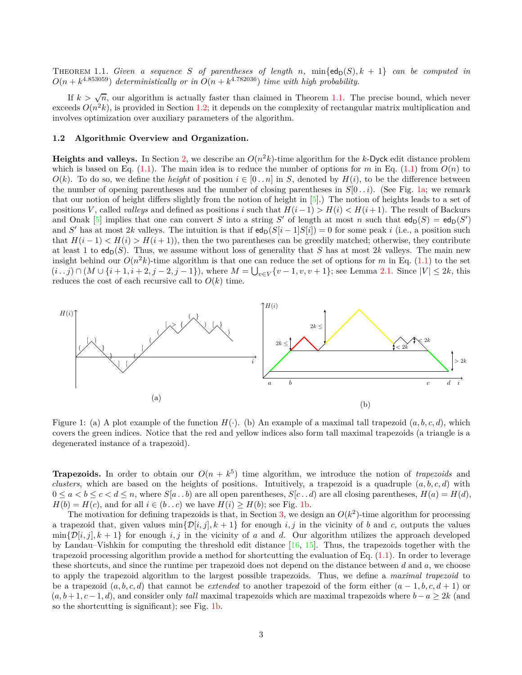THEOREM 1.1. *Given a sequence S* of parentheses of length *n*, min $\{ed_D(S), k + 1\}$  can be computed in  $O(n + k^{4.853059})$  *deterministically or in*  $O(n + k^{4.782036})$  *time with high probability.* 

If  $k > \sqrt{n}$ , our algorithm is actually faster than claimed in Theorem [1.1.](#page-1-2) The precise bound, which never exceeds  $O(n^2k)$ , is provided in Section [1.2;](#page-2-0) it depends on the complexity of rectangular matrix multiplication and involves optimization over auxiliary parameters of the algorithm.

#### <span id="page-2-0"></span>**1.2 Algorithmic Overview and Organization.**

**Heights and valleys.** In Section [2,](#page-5-0) we describe an  $O(n^2k)$ -time algorithm for the *k*-Dyck edit distance problem which is based on Eq.  $(1.1)$ . The main idea is to reduce the number of options for *m* in Eq.  $(1.1)$  from  $O(n)$  to  $O(k)$ . To do so, we define the *height* of position  $i \in [0..n]$  in *S*, denoted by  $H(i)$ , to be the difference between the number of opening parentheses and the number of closing parentheses in  $S[0..i)$ . (See Fig. [1a;](#page-2-1) we remark that our notion of height differs slightly from the notion of height in [\[5\]](#page-18-5).) The notion of heights leads to a set of positions *V*, called *valleys* and defined as positions *i* such that  $H(i-1) > H(i) < H(i+1)$ . The result of Backurs and Onak [\[5\]](#page-18-5) implies that one can convert *S* into a string *S'* of length at most *n* such that  $ed_D(S) = ed_D(S')$ and *S'* has at most 2*k* valleys. The intuition is that if  $ed_D(S[i-1]S[i]) = 0$  for some peak *i* (i.e., a position such that  $H(i-1) < H(i) > H(i+1)$ , then the two parentheses can be greedily matched; otherwise, they contribute at least 1 to  $ed_D(S)$ . Thus, we assume without loss of generality that *S* has at most 2*k* valleys. The main new insight behind our  $O(n^2k)$ -time algorithm is that one can reduce the set of options for *m* in Eq. [\(1.1\)](#page-1-1) to the set  $(i \cdot j) \cap (M \cup \{i+1, i+2, j-2, j-1\}),$  where  $M = \bigcup_{v \in V} \{v-1, v, v+1\}$ ; see Lemma [2.1.](#page-5-1) Since  $|V| \leq 2k$ , this reduces the cost of each recursive call to  $O(k)$  time.

<span id="page-2-1"></span>

Figure 1: (a) A plot example of the function  $H(\cdot)$ . (b) An example of a maximal tall trapezoid  $(a, b, c, d)$ , which covers the green indices. Notice that the red and yellow indices also form tall maximal trapezoids (a triangle is a degenerated instance of a trapezoid).

**Trapezoids.** In order to obtain our  $O(n + k^5)$  time algorithm, we introduce the notion of *trapezoids* and *clusters*, which are based on the heights of positions. Intuitively, a trapezoid is a quadruple (*a, b, c, d*) with  $0 \leq a < b \leq c < d \leq n$ , where  $S[a..b]$  are all open parentheses,  $S[c..d]$  are all closing parentheses,  $H(a) = H(d)$ ,  $H(b) = H(c)$ , and for all  $i \in (b \dots c)$  we have  $H(i) \ge H(b)$ ; see Fig. [1b.](#page-2-1)

The motivation for defining trapezoids is that, in Section [3,](#page-6-0) we design an  $O(k^2)$ -time algorithm for processing a trapezoid that, given values  $\min\{\mathcal{D}[i,j], k+1\}$  for enough  $i, j$  in the vicinity of *b* and *c*, outputs the values  $\min\{\mathcal{D}[i,j], k+1\}$  for enough  $i, j$  in the vicinity of *a* and *d*. Our algorithm utilizes the approach developed by Landau–Vishkin for computing the threshold edit distance  $[16, 15]$  $[16, 15]$ . Thus, the trapezoids together with the trapezoid processing algorithm provide a method for shortcutting the evaluation of Eq. [\(1.1\)](#page-1-1). In order to leverage these shortcuts, and since the runtime per trapezoid does not depend on the distance between *d* and *a*, we choose to apply the trapezoid algorithm to the largest possible trapezoids. Thus, we define a *maximal trapezoid* to be a trapezoid  $(a, b, c, d)$  that cannot be *extended* to another trapezoid of the form either  $(a - 1, b, c, d + 1)$  or  $(a, b+1, c-1, d)$ , and consider only *tall* maximal trapezoids which are maximal trapezoids where  $b-a \geq 2k$  (and so the shortcutting is significant); see Fig. [1b.](#page-2-1)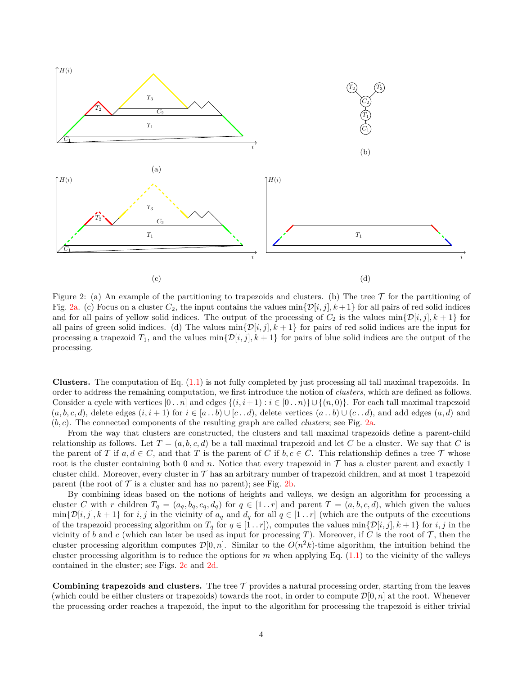<span id="page-3-0"></span>

Figure 2: (a) An example of the partitioning to trapezoids and clusters. (b) The tree  $\mathcal T$  for the partitioning of Fig. [2a.](#page-3-0) (c) Focus on a cluster  $C_2$ , the input contains the values  $\min\{\mathcal{D}[i,j], k+1\}$  for all pairs of red solid indices and for all pairs of yellow solid indices. The output of the processing of  $C_2$  is the values min $\{\mathcal{D}[i,j], k+1\}$  for all pairs of green solid indices. (d) The values  $\min\{\mathcal{D}[i,j], k+1\}$  for pairs of red solid indices are the input for processing a trapezoid  $T_1$ , and the values  $\min\{\mathcal{D}[i,j], k+1\}$  for pairs of blue solid indices are the output of the processing.

**Clusters.** The computation of Eq. [\(1.1\)](#page-1-1) is not fully completed by just processing all tall maximal trapezoids. In order to address the remaining computation, we first introduce the notion of *clusters*, which are defined as follows. Consider a cycle with vertices  $[0 \tldots n]$  and edges  $\{(i, i+1) : i \in [0 \tldots n]\} \cup \{(n, 0)\}\.$  For each tall maximal trapezoid  $(a, b, c, d)$ , delete edges  $(i, i + 1)$  for  $i \in [a \cdot b) \cup [c \cdot d]$ , delete vertices  $(a \cdot b) \cup (c \cdot d)$ , and add edges  $(a, d)$  and  $(b, c)$ . The connected components of the resulting graph are called *clusters*; see Fig. [2a.](#page-3-0)

From the way that clusters are constructed, the clusters and tall maximal trapezoids define a parent-child relationship as follows. Let  $T = (a, b, c, d)$  be a tall maximal trapezoid and let C be a cluster. We say that C is the parent of *T* if  $a, d \in C$ , and that *T* is the parent of *C* if  $b, c \in C$ . This relationship defines a tree *T* whose root is the cluster containing both 0 and  $n$ . Notice that every trapezoid in  $\mathcal T$  has a cluster parent and exactly 1 cluster child. Moreover, every cluster in  $\mathcal T$  has an arbitrary number of trapezoid children, and at most 1 trapezoid parent (the root of  $\mathcal T$  is a cluster and has no parent); see Fig. [2b.](#page-3-0)

By combining ideas based on the notions of heights and valleys, we design an algorithm for processing a cluster C with r children  $T_q = (a_q, b_q, c_q, d_q)$  for  $q \in [1 \tcdot r]$  and parent  $T = (a, b, c, d)$ , which given the values  $\min\{\mathcal{D}[i,j], k+1\}$  for *i, j* in the vicinity of  $a_q$  and  $d_q$  for all  $q \in [1 \dots r]$  (which are the outputs of the executions of the trapezoid processing algorithm on  $T_q$  for  $q \in [1 \tcdot r]$ , computes the values min $\{\mathcal{D}[i, j], k + 1\}$  for  $i, j$  in the vicinity of *b* and *c* (which can later be used as input for processing *T*). Moreover, if *C* is the root of  $\mathcal{T}$ , then the cluster processing algorithm computes  $\mathcal{D}[0,n]$ . Similar to the  $O(n^2k)$ -time algorithm, the intuition behind the cluster processing algorithm is to reduce the options for *m* when applying Eq.  $(1.1)$  to the vicinity of the valleys contained in the cluster; see Figs. [2c](#page-3-0) and [2d.](#page-3-0)

**Combining trapezoids and clusters.** The tree  $\mathcal T$  provides a natural processing order, starting from the leaves (which could be either clusters or trapezoids) towards the root, in order to compute D[0*, n*] at the root. Whenever the processing order reaches a trapezoid, the input to the algorithm for processing the trapezoid is either trivial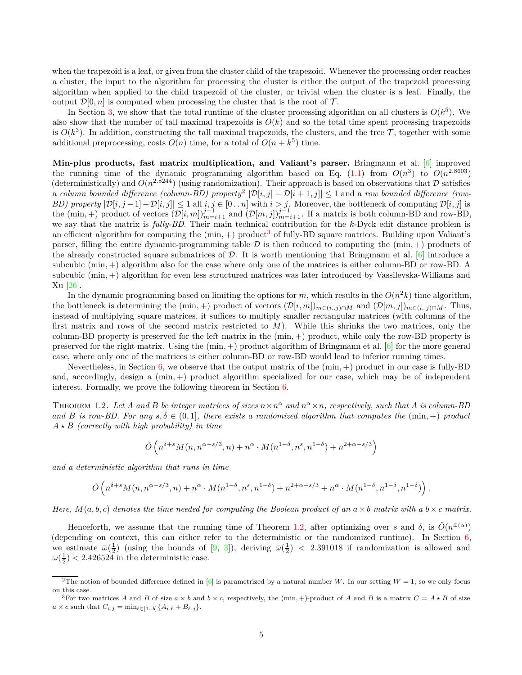when the trapezoid is a leaf, or given from the cluster child of the trapezoid. Whenever the processing order reaches a cluster, the input to the algorithm for processing the cluster is either the output of the trapezoid processing algorithm when applied to the child trapezoid of the cluster, or trivial when the cluster is a leaf. Finally, the output  $\mathcal{D}[0,n]$  is computed when processing the cluster that is the root of  $\mathcal{T}$ .

In Section [3,](#page-6-0) we show that the total runtime of the cluster processing algorithm on all clusters is  $O(k^5)$ . We also show that the number of tall maximal trapezoids is  $O(k)$  and so the total time spent processing trapezoids is  $O(k^3)$ . In addition, constructing the tall maximal trapezoids, the clusters, and the tree  $\mathcal{T}$ , together with some additional preprocessing, costs  $O(n)$  time, for a total of  $O(n + k^5)$  time.

**Min-plus products, fast matrix multiplication, and Valiant's parser.** Bringmann et al. [\[6\]](#page-18-3) improved the running time of the dynamic programming algorithm based on Eq.  $(1.1)$  from  $O(n^3)$  to  $O(n^{2.8603})$ (deterministically) and  $O(n^{2.8244})$  (using randomization). Their approach is based on observations that  $D$  satisfies a *column bounded difference (column-BD) property*<sup>[2](#page-4-0)</sup>  $|\mathcal{D}[i, j] - \mathcal{D}[i + 1, j]| \leq 1$  and a *row bounded difference (row-BD) property*  $|\mathcal{D}[i, j-1] - \mathcal{D}[i, j]| \leq 1$  all  $i, j \in [0..n]$  with  $i > j$ . Moreover, the bottleneck of computing  $\mathcal{D}[i, j]$  is the  $(\min, +)$  product of vectors  $(\mathcal{D}[i,m])_{m=i+1}^{j-1}$  and  $(\mathcal{D}[m,j])_{m=i+1}^{j-1}$ . If a matrix is both column-BD and row-BD, we say that the matrix is *fully-BD*. Their main technical contribution for the *k*-Dyck edit distance problem is an efficient algorithm for computing the  $(\min, +)$  product<sup>[3](#page-4-1)</sup> of fully-BD square matrices. Building upon Valiant's parser, filling the entire dynamic-programming table  $\mathcal D$  is then reduced to computing the (min, +) products of the already constructed square submatrices of  $D$ . It is worth mentioning that Bringmann et al.  $[6]$  introduce a subcubic (min*,* +) algorithm also for the case where only one of the matrices is either column-BD or row-BD. A subcubic (min*,* +) algorithm for even less structured matrices was later introduced by Vassilevska-Williams and Xu [\[26\]](#page-19-7).

In the dynamic programming based on limiting the options for  $m$ , which results in the  $O(n^2k)$  time algorithm, the bottleneck is determining the (min, +) product of vectors  $(\mathcal{D}[i,m])_{m\in(i..j)\cap M}$  and  $(\mathcal{D}[m,j])_{m\in(i..j)\cap M}$ . Thus, instead of multiplying square matrices, it suffices to multiply smaller rectangular matrices (with columns of the first matrix and rows of the second matrix restricted to *M*). While this shrinks the two matrices, only the column-BD property is preserved for the left matrix in the (min*,* +) product, while only the row-BD property is preserved for the right matrix. Using the (min*,* +) product algorithm of Bringmann et al. [\[6\]](#page-18-3) for the more general case, where only one of the matrices is either column-BD or row-BD would lead to inferior running times.

Nevertheless, in Section [6,](#page-14-0) we observe that the output matrix of the (min*,* +) product in our case is fully-BD and, accordingly, design a (min*,* +) product algorithm specialized for our case, which may be of independent interest. Formally, we prove the following theorem in Section [6.](#page-14-0)

<span id="page-4-2"></span>THEOREM 1.2. Let *A* and *B* be integer matrices of sizes  $n \times n^{\alpha}$  and  $n^{\alpha} \times n$ , respectively, such that *A* is column-*BD* and *B* is row-BD. For any  $s, \delta \in (0,1]$ , there exists a randomized algorithm that computes the  $(\min, +)$  product  $A \star B$  *(correctly with high probability) in time* 

$$
\tilde{O}\left(n^{\delta+s}M(n,n^{\alpha-s/3},n)+n^{\alpha}\cdot M(n^{1-\delta},n^{s},n^{1-\delta})+n^{2+\alpha-s/3}\right)
$$

*and a deterministic algorithm that runs in time*

$$
\tilde{O}\left(n^{\delta+s}M(n,n^{\alpha-s/3},n)+n^{\alpha}\cdot M(n^{1-\delta},n^s,n^{1-\delta})+n^{2+\alpha-s/3}+n^{\alpha}\cdot M(n^{1-\delta},n^{1-\delta},n^{1-\delta})\right).
$$

*Here,*  $M(a, b, c)$  *denotes the time needed for computing the Boolean product of an*  $a \times b$  *matrix with*  $a b \times c$  *matrix.* 

Henceforth, we assume that the running time of Theorem [1.2,](#page-4-2) after optimizing over *s* and  $\delta$ , is  $\tilde{O}(n^{\bar{\omega}(\alpha)})$ (depending on context, this can either refer to the deterministic or the randomized runtime). In Section [6,](#page-14-0) we estimate  $\bar{\omega}(\frac{1}{2})$  (using the bounds of  $[9, 3]$  $[9, 3]$ ), deriving  $\bar{\omega}(\frac{1}{2})$  < 2.391018 if randomization is allowed and  $\bar{\omega}(\frac{1}{2})$  < 2.426524 in the deterministic case.

<span id="page-4-0"></span> $^{2}$ The notion of bounded difference defined in [\[6\]](#page-18-3) is parametrized by a natural number *W*. In our setting *W* = 1, so we only focus on this case.

<span id="page-4-1"></span><sup>&</sup>lt;sup>3</sup>For two matrices *A* and *B* of size  $a \times b$  and  $b \times c$ , respectively, the (min, +)-product of *A* and *B* is a matrix  $C = A \star B$  of size  $a \times c$  such that  $C_{i,j} = \min_{\ell \in [1..b]} \{A_{i,\ell} + B_{\ell,j}\}.$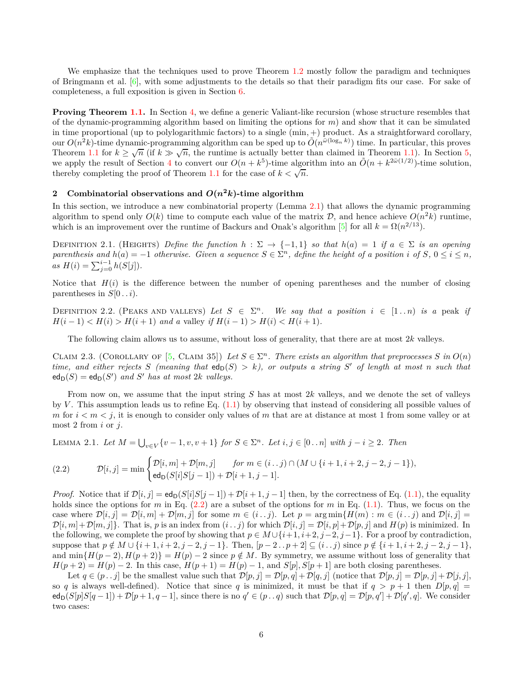We emphasize that the techniques used to prove Theorem [1.2](#page-4-2) mostly follow the paradigm and techniques of Bringmann et al. [\[6\]](#page-18-3), with some adjustments to the details so that their paradigm fits our case. For sake of completeness, a full exposition is given in Section [6.](#page-14-0)

**Proving Theorem [1.1.](#page-1-2)** In Section [4,](#page-11-0) we define a generic Valiant-like recursion (whose structure resembles that of the dynamic-programming algorithm based on limiting the options for *m*) and show that it can be simulated in time proportional (up to polylogarithmic factors) to a single (min*,* +) product. As a straightforward corollary, our  $O(n^2k)$ -time dynamic-programming algorithm can be sped up to  $\tilde{O}(n^{\bar{\omega}(\log_n k)})$  time. In particular, this proves Theorem [1.1](#page-1-2) for  $k \ge \sqrt{n}$  (if  $k \gg \sqrt{n}$ , the runtime is actually better than claimed in Theorem [1.1\)](#page-1-2). In Section [5,](#page-13-0) we apply the result of Section [4](#page-11-0) to convert our  $O(n + k^5)$ -time algorithm into an  $\tilde{O}(n + k^{2\bar{\omega}(1/2)})$ -time solution, thereby completing the proof of Theorem [1.1](#page-1-2) for the case of  $k < \sqrt{n}$ .

# <span id="page-5-0"></span>2 Combinatorial observations and  $O(n^2k)$ -time algorithm

In this section, we introduce a new combinatorial property (Lemma [2.1\)](#page-5-1) that allows the dynamic programming algorithm to spend only  $O(k)$  time to compute each value of the matrix  $D$ , and hence achieve  $O(n^2k)$  runtime, which is an improvement over the runtime of Backurs and Onak's algorithm [\[5\]](#page-18-5) for all  $k = \Omega(n^{2/13})$ .

DEFINITION 2.1. (HEIGHTS) *Define the function*  $h : \Sigma \to \{-1, 1\}$  so that  $h(a) = 1$  if  $a \in \Sigma$  is an opening *parenthesis and*  $h(a) = -1$  *otherwise. Given a sequence*  $S \in \Sigma^n$ , *define the height of a position i of*  $S$ ,  $0 \le i \le n$ ,  $as H(i) = \sum_{j=0}^{i-1} h(S[j]).$ 

Notice that  $H(i)$  is the difference between the number of opening parentheses and the number of closing parentheses in  $S[0..i)$ .

DEFINITION 2.2. (PEAKS AND VALLEYS) Let  $S \in \Sigma^n$ . We say that a position  $i \in [1..n)$  is a peak if  $H(i-1) < H(i) > H(i+1)$  *and a* valley *if*  $H(i-1) > H(i) < H(i+1)$ .

<span id="page-5-3"></span>The following claim allows us to assume, without loss of generality, that there are at most 2*k* valleys.

CLAIM 2.3. (COROLLARY OF  $[5,$  CLAIM 35]) Let  $S \in \Sigma^n$ . There exists an algorithm that preprocesses  $S$  in  $O(n)$  $time$ , and either rejects  $S$  (meaning that  $ed_D(S) > k$ ), or outputs a string  $S'$  of length at most  $n$  such that  $ed_D(S) = ed_D(S')$  *and S' has at most* 2*k valleys.* 

From now on, we assume that the input string *S* has at most 2*k* valleys, and we denote the set of valleys by *V* . This assumption leads us to refine Eq. [\(1.1\)](#page-1-1) by observing that instead of considering all possible values of *m* for  $i < m < j$ , it is enough to consider only values of *m* that are at distance at most 1 from some valley or at most 2 from *i* or *j*.

<span id="page-5-1"></span>LEMMA 2.1. Let  $M = \bigcup_{v \in V} \{v - 1, v, v + 1\}$  for  $S \in \Sigma<sup>n</sup>$ . Let  $i, j \in [0 \dots n]$  with  $j - i \ge 2$ . Then

<span id="page-5-2"></span>(2.2) 
$$
\mathcal{D}[i,j] = \min \begin{cases} \mathcal{D}[i,m] + \mathcal{D}[m,j] & \text{for } m \in (i\mathinner{\ldotp\ldotp} j) \cap (M \cup \{i+1,i+2,j-2,j-1\}), \\ \text{ed}_D(S[i]S[j-1]) + \mathcal{D}[i+1,j-1]. \end{cases}
$$

*Proof.* Notice that if  $\mathcal{D}[i, j] = ed_D(S[i]S[j - 1]) + \mathcal{D}[i + 1, j - 1]$  then, by the correctness of Eq. [\(1.1\)](#page-1-1), the equality holds since the options for *m* in Eq.  $(2.2)$  are a subset of the options for *m* in Eq.  $(1.1)$ . Thus, we focus on the case where  $\mathcal{D}[i, j] = \mathcal{D}[i, m] + \mathcal{D}[m, j]$  for some  $m \in (i \cdot j)$ . Let  $p = \arg \min \{H(m) : m \in (i \cdot j) \}$  and  $\mathcal{D}[i, j] =$  $\mathcal{D}[i,m]+\mathcal{D}[m,j]$ . That is, p is an index from  $(i \cdot j)$  for which  $\mathcal{D}[i,j] = \mathcal{D}[i,p]+\mathcal{D}[p,j]$  and  $H(p)$  is minimized. In the following, we complete the proof by showing that  $p \in M \cup \{i+1, i+2, j-2, j-1\}$ . For a proof by contradiction, suppose that  $p \notin M \cup \{i+1, i+2, j-2, j-1\}$ . Then,  $[p-2..p+2] \subseteq (i..j)$  since  $p \notin \{i+1, i+2, j-2, j-1\}$ , and  $\min\{H(p-2), H(p+2)\} = H(p) - 2$  since  $p \notin M$ . By symmetry, we assume without loss of generality that  $H(p+2) = H(p) - 2$ . In this case,  $H(p+1) = H(p) - 1$ , and  $S[p], S[p+1]$  are both closing parentheses.

Let  $q \in (p \dots j]$  be the smallest value such that  $\mathcal{D}[p, j] = \mathcal{D}[p, q] + \mathcal{D}[q, j]$  (notice that  $\mathcal{D}[p, j] = \mathcal{D}[p, j] + \mathcal{D}[j, j]$ , so *q* is always well-defined). Notice that since *q* is minimized, it must be that if  $q > p + 1$  then  $D[p, q] =$  $ed_{D}(S[p]S[q-1]) + \mathcal{D}[p+1, q-1]$ , since there is no  $q' \in (p \dots q)$  such that  $\mathcal{D}[p,q] = \mathcal{D}[p,q'] + \mathcal{D}[q', q]$ . We consider two cases: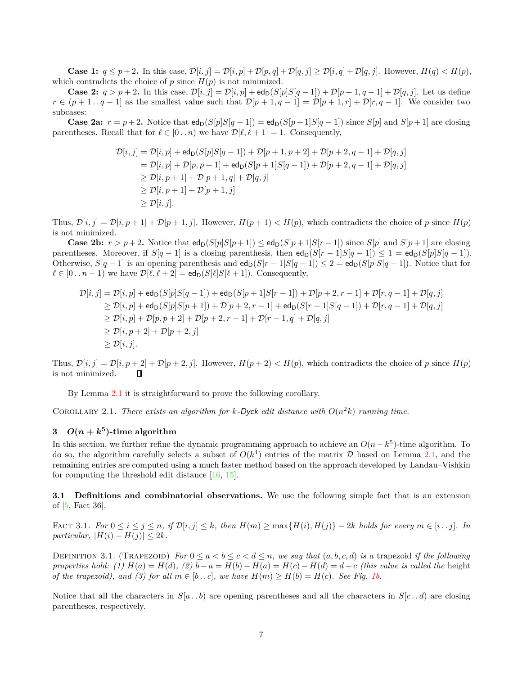**Case 1:**  $q \leq p+2$ . In this case,  $\mathcal{D}[i, j] = \mathcal{D}[i, p] + \mathcal{D}[p, q] + \mathcal{D}[q, j] \geq \mathcal{D}[i, q] + \mathcal{D}[q, j]$ . However,  $H(q) < H(p)$ , which contradicts the choice of  $p$  since  $H(p)$  is not minimized.

**Case 2:**  $q > p + 2$ . In this case,  $\mathcal{D}[i, j] = \mathcal{D}[i, p] + \text{ed}_{D}(S[p]S[q-1]) + \mathcal{D}[p+1, q-1] + \mathcal{D}[q, j]$ . Let us define  $r \in (p+1 \ldots q-1]$  as the smallest value such that  $\mathcal{D}[p+1,q-1] = \mathcal{D}[p+1,r] + \mathcal{D}[r,q-1]$ . We consider two subcases:

**Case 2a:**  $r = p + 2$ . Notice that  $ed_D(S[p]S[q-1]) = ed_D(S[p+1]S[q-1])$  since  $S[p]$  and  $S[p+1]$  are closing parentheses. Recall that for  $\ell \in [0..n)$  we have  $\mathcal{D}[\ell, \ell+1] = 1$ . Consequently,

$$
\begin{aligned} \mathcal{D}[i,j] &= \mathcal{D}[i,p] + \mathsf{ed_D}(S[p]S[q-1]) + \mathcal{D}[p+1,p+2] + \mathcal{D}[p+2,q-1] + \mathcal{D}[q,j] \\ &= \mathcal{D}[i,p] + \mathcal{D}[p,p+1] + \mathsf{ed_D}(S[p+1]S[q-1]) + \mathcal{D}[p+2,q-1] + \mathcal{D}[q,j] \\ &\ge \mathcal{D}[i,p+1] + \mathcal{D}[p+1,q] + \mathcal{D}[q,j] \\ &\ge \mathcal{D}[i,p+1] + \mathcal{D}[p+1,j] \\ &\ge \mathcal{D}[i,j]. \end{aligned}
$$

Thus,  $\mathcal{D}[i, j] = \mathcal{D}[i, p+1] + \mathcal{D}[p+1, j]$ . However,  $H(p+1) < H(p)$ , which contradicts the choice of p since  $H(p)$ is not minimized.

**Case 2b:**  $r > p+2$ . Notice that  $ed_p(S[p]S[p+1]) \leq ed_p(S[p+1]S[r-1])$  since  $S[p]$  and  $S[p+1]$  are closing parentheses. Moreover, if  $S[q-1]$  is a closing parenthesis, then  $ed_D(S[r-1]S[q-1]) \leq 1 = ed_D(S[p]S[q-1])$ . Otherwise,  $S[q-1]$  is an opening parenthesis and  $ed_D(S[r-1]S[q-1]) \leq 2 = ed_D(S[p]S[q-1])$ . Notice that for  $\ell \in [0 \dots n-1)$  we have  $\mathcal{D}[\ell, \ell+2] = \mathsf{ed}_{\mathsf{D}}(S[\ell]S[\ell+1])$ . Consequently,

$$
\begin{aligned} \mathcal{D}[i,j] &= \mathcal{D}[i,p] + \mathsf{ed}_{\mathsf{D}}(S[p]S[q-1]) + \mathsf{ed}_{\mathsf{D}}(S[p+1]S[r-1]) + \mathcal{D}[p+2,r-1] + \mathcal{D}[r,q-1] + \mathcal{D}[q,j] \\ &\ge \mathcal{D}[i,p] + \mathsf{ed}_{\mathsf{D}}(S[p]S[p+1]) + \mathcal{D}[p+2,r-1] + \mathsf{ed}_{\mathsf{D}}(S[r-1]S[q-1]) + \mathcal{D}[r,q-1] + \mathcal{D}[q,j] \\ &\ge \mathcal{D}[i,p] + \mathcal{D}[p,p+2] + \mathcal{D}[p+2,r-1] + \mathcal{D}[r-1,q] + \mathcal{D}[q,j] \\ &\ge \mathcal{D}[i,p+2] + \mathcal{D}[p+2,j] \\ &\ge \mathcal{D}[i,j]. \end{aligned}
$$

Thus,  $\mathcal{D}[i, j] = \mathcal{D}[i, p+2] + \mathcal{D}[p+2, j]$ . However,  $H(p+2) < H(p)$ , which contradicts the choice of *p* since  $H(p)$  is not minimized. is not minimized.

By Lemma [2.1](#page-5-1) it is straightforward to prove the following corollary.

COROLLARY 2.1. *There exists an algorithm for k-Dyck edit distance with*  $O(n^2k)$  *running time.* 

# <span id="page-6-0"></span>**3**  $O(n + k^5)$ -time algorithm

In this section, we further refine the dynamic programming approach to achieve an  $O(n + k<sup>5</sup>)$ -time algorithm. To do so, the algorithm carefully selects a subset of  $O(k^4)$  entries of the matrix  $D$  based on Lemma [2.1,](#page-5-1) and the remaining entries are computed using a much faster method based on the approach developed by Landau–Vishkin for computing the threshold edit distance [\[16,](#page-19-6) [15\]](#page-19-5).

<span id="page-6-1"></span>**3.1 Definitions and combinatorial observations.** We use the following simple fact that is an extension of [\[5,](#page-18-5) Fact 36].

FACT 3.1. For  $0 \leq i \leq j \leq n$ , if  $\mathcal{D}[i,j] \leq k$ , then  $H(m) \geq \max\{H(i),H(j)\}-2k$  holds for every  $m \in [i..j]$ . In  $particular, |H(i) - H(j)| \leq 2k.$ 

DEFINITION 3.1. (TRAPEZOID) For  $0 \le a < b \le c < d \le n$ , we say that  $(a, b, c, d)$  is a trapezoid if the following properties hold: (1)  $H(a) = H(d)$ , (2)  $b - a = H(b) - H(a) = H(c) - H(d) = d - c$  (this value is called the height *of the trapezoid), and (3) for all*  $m \in [b \dots c]$ *, we have*  $H(m) \ge H(b) = H(c)$ *. See Fig. [1b.](#page-2-1)* 

Notice that all the characters in  $S[a \cdot b]$  are opening parentheses and all the characters in  $S[c \cdot d]$  are closing parentheses, respectively.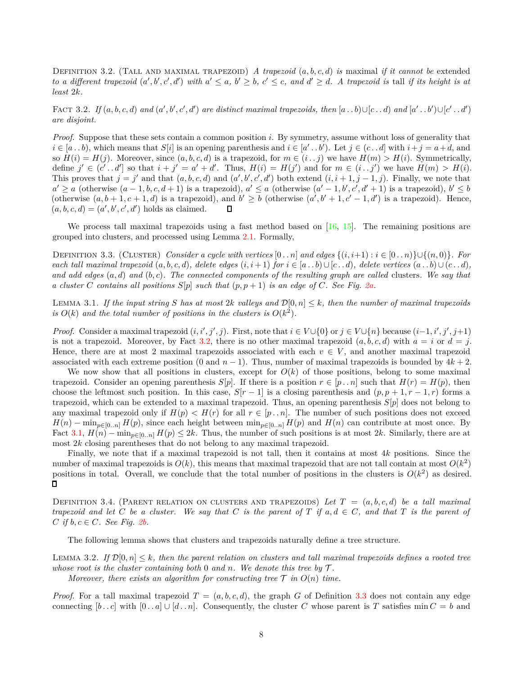Definition 3.2. (Tall and maximal trapezoid) *A trapezoid* (*a, b, c, d*) *is* maximal *if it cannot be* extended to a different trapezoid  $(a',b',c',d')$  with  $a' \le a, b' \ge b, c' \le c$ , and  $d' \ge d$ . A trapezoid is tall if its height is at *least* 2*k.*

<span id="page-7-0"></span>FACT 3.2. If  $(a, b, c, d)$  and  $(a', b', c', d')$  are distinct maximal trapezoids, then  $[a \tcdot b] \cup [c \tcdot d]$  and  $[a' \tcdot b') \cup [c' \tcdot d']$ *are disjoint.*

*Proof.* Suppose that these sets contain a common position *i*. By symmetry, assume without loss of generality that  $i \in [a \dots b)$ , which means that  $S[i]$  is an opening parenthesis and  $i \in [a' \dots b')$ . Let  $j \in (c \dots d]$  with  $i + j = a + d$ , and so  $H(i) = H(j)$ . Moreover, since  $(a, b, c, d)$  is a trapezoid, for  $m \in (i \cdot j)$  we have  $H(m) > H(i)$ . Symmetrically, define  $j' \in (c' \cdot d']$  so that  $i + j' = a' + d'$ . Thus,  $H(i) = H(j')$  and for  $m \in (i \cdot j')$  we have  $H(m) > H(i)$ . This proves that  $j = j'$  and that  $(a, b, c, d)$  and  $(a', b', c', d')$  both extend  $(i, i + 1, j - 1, j)$ . Finally, we note that  $a' \ge a$  (otherwise  $(a-1,b,c,d+1)$ ) is a trapezoid),  $a' \le a$  (otherwise  $(a'-1,b',c',d'+1)$ ) is a trapezoid),  $b' \le b$ (otherwise  $(a, b + 1, c + 1, d)$  is a trapezoid), and  $b' \ge b$  (otherwise  $(a', b' + 1, c' - 1, d')$  is a trapezoid). Hence,  $(a, b, c, d) = (a', b', c', d')$  holds as claimed. Л

<span id="page-7-1"></span>We process tall maximal trapezoids using a fast method based on  $[16, 15]$  $[16, 15]$ . The remaining positions are grouped into clusters, and processed using Lemma [2.1.](#page-5-1) Formally,

DEFINITION 3.3. (CLUSTER) *Consider a cycle with vertices*  $[0 \tildot n]$  *and edges*  $\{(i, i+1) : i \in [0 \tildot n] \cup \{(n, 0)\}$ *. For each tall maximal trapezoid*  $(a, b, c, d)$ *, delete edges*  $(i, i+1)$  *for*  $i \in [a \dots b) ∪ [c \dots d]$ *, delete vertices*  $(a \dots b) ∪ (c \dots d)$ *, and add edges* (*a, d*) *and* (*b, c*)*. The connected components of the resulting graph are called* clusters*. We say that a cluster C contains all positions*  $S[p]$  *such that*  $(p, p + 1)$  *is an edge of C. See Fig.* 2*a.* 

<span id="page-7-3"></span>LEMMA 3.1. If the input string S has at most  $2k$  valleys and  $\mathcal{D}[0,n] \leq k$ , then the number of maximal trapezoids is  $O(k)$  and the total number of positions in the clusters is  $O(k^2)$ .

*Proof.* Consider a maximal trapezoid  $(i, i', j', j)$ . First, note that  $i \in V \cup \{0\}$  or  $j \in V \cup \{n\}$  because  $(i-1, i', j', j+1)$ is not a trapezoid. Moreover, by Fact [3.2,](#page-7-0) there is no other maximal trapezoid  $(a, b, c, d)$  with  $a = i$  or  $d = j$ . Hence, there are at most 2 maximal trapezoids associated with each  $v \in V$ , and another maximal trapezoid associated with each extreme position (0 and  $n - 1$ ). Thus, number of maximal trapezoids is bounded by  $4k + 2$ .

We now show that all positions in clusters, except for  $O(k)$  of those positions, belong to some maximal trapezoid. Consider an opening parenthesis  $S[p]$ . If there is a position  $r \in [p \dots n]$  such that  $H(r) = H(p)$ , then choose the leftmost such position. In this case,  $S[r-1]$  is a closing parenthesis and  $(p, p+1, r-1, r)$  forms a trapezoid, which can be extended to a maximal trapezoid. Thus, an opening parenthesis *S*[*p*] does not belong to any maximal trapezoid only if  $H(p) < H(r)$  for all  $r \in [p \nvert n]$ . The number of such positions does not exceed  $H(n)$  − min<sub>*p*∈[0*.*.*n*]  $H(p)$ , since each height between min<sub>*p*∈[0*.*.*n*]  $H(p)$  and  $H(n)$  can contribute at most once. By</sub></sub> Fact [3.1,](#page-6-1)  $H(n) - \min_{p \in [0..n]} H(p) \leq 2k$ . Thus, the number of such positions is at most 2k. Similarly, there are at most 2*k* closing parentheses that do not belong to any maximal trapezoid.

Finally, we note that if a maximal trapezoid is not tall, then it contains at most 4*k* positions. Since the number of maximal trapezoids is  $O(k)$ , this means that maximal trapezoid that are not tall contain at most  $O(k^2)$ positions in total. Overall, we conclude that the total number of positions in the clusters is  $O(k^2)$  as desired.  $\Box$ 

DEFINITION 3.4. (PARENT RELATION ON CLUSTERS AND TRAPEZOIDS) Let  $T = (a, b, c, d)$  be a tall maximal *trapezoid and let*  $C$  *be a cluster.* We say that  $C$  *is the parent of*  $T$  *if*  $a, d \in C$ *, and that*  $T$  *is the parent of*  $C$  *if*  $b, c \in C$ *. See Fig.* 2*b.* 

<span id="page-7-2"></span>The following lemma shows that clusters and trapezoids naturally define a tree structure.

LEMMA 3.2. If  $\mathcal{D}[0,n] \leq k$ , then the parent relation on clusters and tall maximal trapezoids defines a rooted tree *whose root is the cluster containing both* 0 *and n. We denote this tree by*  $\mathcal{T}$ *.* 

*Moreover, there exists an algorithm for constructing tree*  $\mathcal{T}$  *in*  $O(n)$  *time.* 

*Proof.* For a tall maximal trapezoid  $T = (a, b, c, d)$ , the graph *G* of Definition [3.3](#page-7-1) does not contain any edge connecting  $[b \cdot c]$  with  $[0 \cdot a] \cup [d \cdot n]$ . Consequently, the cluster C whose parent is T satisfies min  $C = b$  and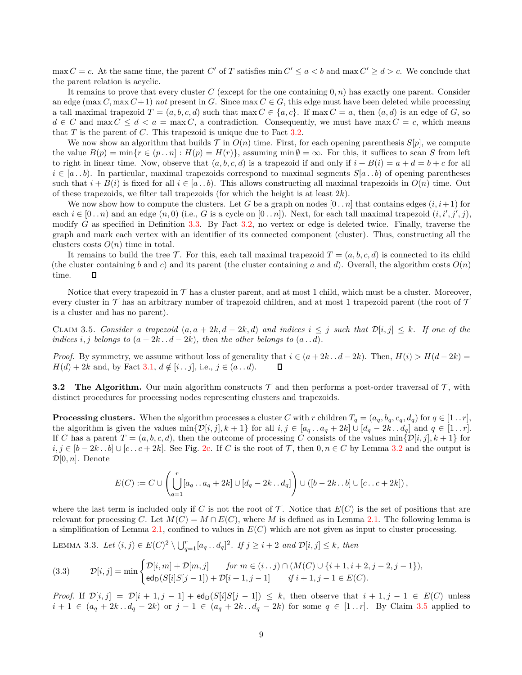$\max C = c$ . At the same time, the parent *C*' of *T* satisfies  $\min C' \le a < b$  and  $\max C' \ge d > c$ . We conclude that the parent relation is acyclic.

It remains to prove that every cluster *C* (except for the one containing 0*, n*) has exactly one parent. Consider an edge (max  $C$ , max  $C+1$ ) *not* present in  $G$ . Since max  $C \in G$ , this edge must have been deleted while processing a tall maximal trapezoid  $T = (a, b, c, d)$  such that max  $C \in \{a, c\}$ . If max  $C = a$ , then  $(a, d)$  is an edge of *G*, so  $d \in C$  and max  $C \leq d < a = \max C$ , a contradiction. Consequently, we must have max  $C = c$ , which means that *T* is the parent of *C*. This trapezoid is unique due to Fact [3.2.](#page-7-0)

We now show an algorithm that builds  $\mathcal T$  in  $O(n)$  time. First, for each opening parenthesis  $S[p]$ , we compute the value  $B(p) = \min\{r \in (p \dots n] : H(p) = H(r)\}\$ , assuming  $\min \emptyset = \infty$ . For this, it suffices to scan *S* from left to right in linear time. Now, observe that  $(a, b, c, d)$  is a trapezoid if and only if  $i + B(i) = a + d = b + c$  for all  $i \in [a, b]$ . In particular, maximal trapezoids correspond to maximal segments  $S[a, b]$  of opening parentheses such that  $i + B(i)$  is fixed for all  $i \in [a \tcdot b]$ . This allows constructing all maximal trapezoids in  $O(n)$  time. Out of these trapezoids, we filter tall trapezoids (for which the height is at least 2*k*).

We now show how to compute the clusters. Let *G* be a graph on nodes  $[0 \tcdot n]$  that contains edges  $(i, i+1)$  for each  $i \in [0..n)$  and an edge  $(n,0)$  (i.e., *G* is a cycle on  $[0..n]$ ). Next, for each tall maximal trapezoid  $(i, i', j', j)$ , modify *G* as specified in Definition [3.3.](#page-7-1) By Fact [3.2,](#page-7-0) no vertex or edge is deleted twice. Finally, traverse the graph and mark each vertex with an identifier of its connected component (cluster). Thus, constructing all the clusters costs  $O(n)$  time in total.

It remains to build the tree  $\mathcal T$ . For this, each tall maximal trapezoid  $T = (a, b, c, d)$  is connected to its child (the cluster containing *b* and *c*) and its parent (the cluster containing *a* and *d*). Overall, the algorithm costs  $O(n)$ time.  $\Box$ 

Notice that every trapezoid in  $\mathcal T$  has a cluster parent, and at most 1 child, which must be a cluster. Moreover, every cluster in  $\mathcal T$  has an arbitrary number of trapezoid children, and at most 1 trapezoid parent (the root of  $\mathcal T$ is a cluster and has no parent).

<span id="page-8-0"></span>Claim 3.5. *Consider a trapezoid* (*a, a* + 2*k, d* − 2*k, d*) *and indices i* ≤ *j such that* D[*i, j*] ≤ *k. If one of the indices i, j belongs* to  $(a + 2k \cdot d - 2k)$ *, then the other belongs to*  $(a \cdot d)$ *.* 

*Proof.* By symmetry, we assume without loss of generality that  $i \in (a + 2k \dots d - 2k)$ . Then,  $H(i) > H(d - 2k) = H(d) + 2k$  and, by Fact 3.1,  $d \notin [i \dots j]$ , i.e.,  $j \in (a \dots d)$ . *H*(*d*) + 2*k* and, by Fact [3.1,](#page-6-1)  $d \notin [i \cdot j]$ , i.e.,  $j \in (a \cdot d)$ .

**3.2 The Algorithm.** Our main algorithm constructs  $\mathcal T$  and then performs a post-order traversal of  $\mathcal T$ , with distinct procedures for processing nodes representing clusters and trapezoids.

**Processing clusters.** When the algorithm processes a cluster *C* with *r* children  $T_q = (a_q, b_q, c_q, d_q)$  for  $q \in [1, r]$ , the algorithm is given the values min $\{\mathcal{D}[i,j], k+1\}$  for all  $i, j \in [a_q \dots a_q + 2k] \cup [d_q - 2k \dots d_q]$  and  $q \in [1 \dots r]$ . If *C* has a parent  $T = (a, b, c, d)$ , then the outcome of processing *C* consists of the values min $\{\mathcal{D}[i, j], k + 1\}$  for *i, j* ∈ [*b* − 2*k*..*b*] ∪ [*c*..*c* + 2*k*]. See Fig. [2c.](#page-3-0) If *C* is the root of *T*, then  $0, n \in C$  by Lemma [3.2](#page-7-2) and the output is  $\mathcal{D}[0,n]$ . Denote

<span id="page-8-1"></span>
$$
E(C) := C \cup \left( \bigcup_{q=1}^r [a_q \dots a_q + 2k] \cup [d_q - 2k \dots d_q] \right) \cup ([b - 2k \dots b] \cup [c \dots c + 2k]),
$$

where the last term is included only if *C* is not the root of  $\mathcal T$ . Notice that  $E(C)$  is the set of positions that are relevant for processing *C*. Let  $M(C) = M \cap E(C)$ , where *M* is defined as in Lemma [2.1.](#page-5-1) The following lemma is a simplification of Lemma [2.1,](#page-5-1) confined to values in *E*(*C*) which are not given as input to cluster processing.

*LEMMA* 3.3. *Let*  $(i, j)$  ∈  $E(C)^2 \setminus \bigcup_{q=1}^{r} [a_q \tcdot \tcdot d_q]^2$ . *If*  $j \geq i + 2$  *and*  $\mathcal{D}[i, j] \leq k$ *, then* 

$$
(3.3) \qquad \mathcal{D}[i,j] = \min\begin{cases} \mathcal{D}[i,m] + \mathcal{D}[m,j] & \text{for } m \in (i\mathinner{\ldotp\ldotp} j) \cap (M(C) \cup \{i+1,i+2,j-2,j-1\}), \\ \text{ed}_{\mathsf{D}}(S[i]S[j-1]) + \mathcal{D}[i+1,j-1] & \text{if } i+1,j-1 \in E(C). \end{cases}
$$

*Proof.* If  $\mathcal{D}[i,j] = \mathcal{D}[i+1,j-1] + \mathsf{ed}_{\mathsf{D}}(S[i]S[j-1]) \leq k$ , then observe that  $i+1,j-1 \in E(C)$  unless *i* + 1 ∈  $(a_q + 2k \tildot d_q - 2k)$  or  $j - 1 \tildot (a_q + 2k \tildot d_q - 2k)$  for some  $q \tildot [1 \tildot r]$ . By Claim [3.5](#page-8-0) applied to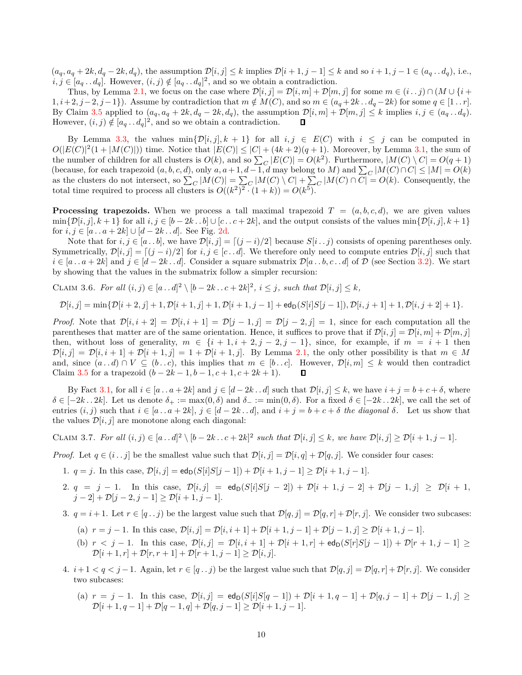$(a_q, a_q + 2k, d_q - 2k, d_q)$ , the assumption  $\mathcal{D}[i, j] \leq k$  implies  $\mathcal{D}[i + 1, j - 1] \leq k$  and so  $i + 1, j - 1 \in (a_q \dots d_q)$ , i.e.,  $i, j \in [a_q \dots d_q]$ . However,  $(i, j) \notin [a_q \dots d_q]^2$ , and so we obtain a contradiction.

Thus, by Lemma [2.1,](#page-5-1) we focus on the case where  $\mathcal{D}[i, j] = \mathcal{D}[i, m] + \mathcal{D}[m, j]$  for some  $m \in (i \cdot j) \cap (M \cup \{i + j\})$ 1*, i* + 2*, j* − 2*, j* − 1}). Assume by contradiction that  $m \notin M(C)$ , and so  $m \in (a_q + 2k \dots d_q - 2k)$  for some  $q \in [1 \dots r]$ . By Claim [3.5](#page-8-0) applied to  $(a_q, a_q + 2k, d_q - 2k, d_q)$ , the assumption  $\mathcal{D}[i,m] + \mathcal{D}[m,j] \leq k$  implies  $i, j \in (a_q \dots d_q)$ .<br>However,  $(i, j) \notin [a_q \dots d_q]^2$ , and so we obtain a contradiction.  $\Box$ However,  $(i, j) \notin [a_q \dots a_q]^2$ , and so we obtain a contradiction.

By Lemma [3.3,](#page-8-1) the values  $\min\{\mathcal{D}[i,j], k+1\}$  for all  $i, j \in E(C)$  with  $i \leq j$  can be computed in  $O(|E(C)|^2(1+|M(C)|))$  time. Notice that  $|E(C)| \leq |C| + (4k+2)(q+1)$ . Moreover, by Lemma [3.1,](#page-7-3) the sum of the number of children for all clusters is  $O(k)$ , and so  $\sum_{C} |E(C)| = O(k^2)$ . Furthermore,  $|M(C) \setminus C| = O(q+1)$ (because, for each trapezoid  $(a, b, c, d)$ , only  $a, a+1, d-1, d$  may belong to *M*) and  $\sum_{c} |M(c) \cap C| \le |M| = O(k)$ as the clusters do not intersect, so  $\sum_{C} |M(C)| = \sum_{C} |M(C) \setminus C| + \sum_{C} |M(C) \cap C| = O(k)$ . Consequently, the total time required to process all clusters is  $O((k^2)^2 \cdot (1+k)) = O(k^5)$ .

**Processing trapezoids.** When we process a tall maximal trapezoid  $T = (a, b, c, d)$ , we are given values  $\min\{\mathcal{D}[i,j], k+1\}$  for all  $i, j \in [b-2k, b] \cup [c, c+2k]$ , and the output consists of the values  $\min\{\mathcal{D}[i,j], k+1\}$ for  $i, j \in [a \dots a + 2k] \cup [d - 2k \dots d]$ . See Fig. [2d.](#page-3-0)

Note that for  $i, j \in [a \tcdot b]$ , we have  $\mathcal{D}[i, j] = [(j - i)/2]$  because  $S[i \tcdot j]$  consists of opening parentheses only. Symmetrically,  $\mathcal{D}[i, j] = [(j - i)/2]$  for  $i, j \in [c \dots d]$ . We therefore only need to compute entries  $\mathcal{D}[i, j]$  such that  $i \in [a \ldots a + 2k]$  and  $j \in [d - 2k \ldots d]$ . Consider a square submatrix  $\mathcal{D}[a \ldots b, c \ldots d]$  of  $\mathcal{D}$  (see Section [3.2\)](#page-10-0). We start by showing that the values in the submatrix follow a simpler recursion:

CLAIM 3.6. For all 
$$
(i, j) \in [a \cdot d]^2 \setminus [b - 2k \cdot c + 2k]^2
$$
,  $i \leq j$ , such that  $\mathcal{D}[i, j] \leq k$ ,

<span id="page-9-1"></span>
$$
\mathcal{D}[i,j] = \min\{\mathcal{D}[i+2,j]+1,\mathcal{D}[i+1,j]+1,\mathcal{D}[i+1,j-1] + \mathsf{ed_D}(S[i]S[j-1]),\mathcal{D}[i,j+1]+1,\mathcal{D}[i,j+2]+1\}.
$$

*Proof.* Note that  $\mathcal{D}[i, i + 2] = \mathcal{D}[i, i + 1] = \mathcal{D}[j - 1, j] = \mathcal{D}[j - 2, j] = 1$ , since for each computation all the parentheses that matter are of the same orientation. Hence, it suffices to prove that if  $\mathcal{D}[i, j] = \mathcal{D}[i, m] + \mathcal{D}[m, j]$ then, without loss of generality,  $m \in \{i+1, i+2, j-2, j-1\}$ , since, for example, if  $m = i + 1$  then  $\mathcal{D}[i, j] = \mathcal{D}[i, i+1] + \mathcal{D}[i+1, j] = 1 + \mathcal{D}[i+1, j]$ . By Lemma [2.1,](#page-5-1) the only other possibility is that  $m \in M$ and, since  $(a \cdot d) \cap V \subseteq (b \cdot c)$ , this implies that  $m \in [b \cdot c]$ . However,  $\mathcal{D}[i,m] \leq k$  would then contradict Claim [3.5](#page-8-0) for a trapezoid  $(b - 2k - 1, b - 1, c + 1, c + 2k + 1)$ .

By Fact [3.1,](#page-6-1) for all  $i \in [a \tcdot a + 2k]$  and  $j \in [d-2k \tcdot d]$  such that  $\mathcal{D}[i, j] \leq k$ , we have  $i + j = b + c + \delta$ , where  $\delta \in [-2k..2k]$ . Let us denote  $\delta_+ := \max(0,\delta)$  and  $\delta_- := \min(0,\delta)$ . For a fixed  $\delta \in [-2k..2k]$ , we call the set of entries  $(i, j)$  such that  $i \in [a \ldots a + 2k]$ ,  $j \in [d - 2k \ldots d]$ , and  $i + j = b + c + \delta$  the diagonal  $\delta$ . Let us show that the values  $\mathcal{D}[i, j]$  are monotone along each diagonal:

<span id="page-9-0"></span>CLAIM 3.7. For all  $(i, j) \in [a \dots d]^2 \setminus [b - 2k \dots c + 2k]^2$  such that  $\mathcal{D}[i, j] \leq k$ , we have  $\mathcal{D}[i, j] \geq \mathcal{D}[i + 1, j - 1]$ .

*Proof.* Let  $q \in (i..j]$  be the smallest value such that  $\mathcal{D}[i,j] = \mathcal{D}[i,q] + \mathcal{D}[q,j]$ . We consider four cases:

- 1.  $q = j$ . In this case,  $\mathcal{D}[i, j] = ed_{\mathcal{D}}(S[i]S[j-1]) + \mathcal{D}[i+1, j-1] \ge \mathcal{D}[i+1, j-1]$ .
- 2.  $q = j 1$ . In this case,  $\mathcal{D}[i, j] = \text{ed}_{D}(S[i]S[j 2]) + \mathcal{D}[i + 1, j 2] + \mathcal{D}[j 1, j] \ge \mathcal{D}[i + 1, j]$  $j - 2$ | +  $\mathcal{D}[j - 2, j - 1]$  ≥  $\mathcal{D}[i + 1, j - 1]$ .
- 3.  $q = i + 1$ . Let  $r \in [q, j)$  be the largest value such that  $\mathcal{D}[q, j] = \mathcal{D}[q, r] + \mathcal{D}[r, j]$ . We consider two subcases:
	- (a)  $r = j 1$ . In this case,  $\mathcal{D}[i, j] = \mathcal{D}[i, i + 1] + \mathcal{D}[i + 1, j 1] + \mathcal{D}[j 1, j] \ge \mathcal{D}[i + 1, j 1]$ .
	- (b)  $r < j 1$ . In this case,  $\mathcal{D}[i, j] = \mathcal{D}[i, i + 1] + \mathcal{D}[i + 1, r] + \mathsf{ed}_{\mathsf{D}}(S[r]S[j 1]) + \mathcal{D}[r + 1, j 1] \geq$  $\mathcal{D}[i+1,r] + \mathcal{D}[r,r+1] + \mathcal{D}[r+1,j-1] > \mathcal{D}[i,j].$
- 4.  $i+1 < q < j-1$ . Again, let  $r \in [q, j)$  be the largest value such that  $\mathcal{D}[q, j] = \mathcal{D}[q, r] + \mathcal{D}[r, j]$ . We consider two subcases:
	- $p(i)$   $r = j 1$ . In this case,  $\mathcal{D}[i, j] = ed_D(S[i]S[q 1]) + \mathcal{D}[i + 1, q 1] + \mathcal{D}[q, j 1] + \mathcal{D}[j 1, j] \geq$  $\mathcal{D}[i+1, q-1] + \mathcal{D}[q-1, q] + \mathcal{D}[q, j-1] \geq \mathcal{D}[i+1, j-1].$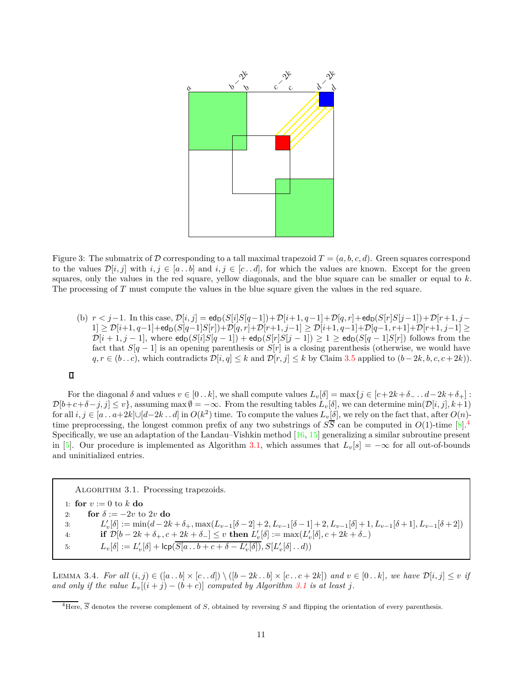<span id="page-10-0"></span>

Figure 3: The submatrix of D corresponding to a tall maximal trapezoid  $T = (a, b, c, d)$ . Green squares correspond to the values  $\mathcal{D}[i,j]$  with  $i, j \in [a \dots b]$  and  $i, j \in [c \dots d]$ , for which the values are known. Except for the green squares, only the values in the red square, yellow diagonals, and the blue square can be smaller or equal to *k*. The processing of *T* must compute the values in the blue square given the values in the red square.

(b)  $r < j-1$ . In this case,  $\mathcal{D}[i, j] = ed_D(S[i]S[q-1]) + \mathcal{D}[i+1, q-1] + \mathcal{D}[q, r] + ed_D(S[r]S[j-1]) + \mathcal{D}[r+1, j-1]$  $1] \geq \mathcal{D}[i+1,q-1] + \mathsf{ed_D}(S[q-1]S[r]) + \mathcal{D}[q,r] + \mathcal{D}[r+1,j-1] \geq \mathcal{D}[i+1,q-1] + \mathcal{D}[q-1,r+1] + \mathcal{D}[r+1,j-1] \geq 0$  $\mathcal{D}[i+1,j-1]$ , where  $ed_D(S[i]S[q-1]) + ed_D(S[r]S[j-1]) \geq 1 \geq ed_D(S[q-1]S[r])$  follows from the fact that  $S[q-1]$  is an opening parenthesis or  $S[r]$  is a closing parenthesis (otherwise, we would have *q, r* ∈ (*b*..*c*), which contradicts  $\mathcal{D}[i, q] \leq k$  and  $\mathcal{D}[r, j] \leq k$  by Claim [3.5](#page-8-0) applied to (*b*−2*k, b, c, c* + 2*k*)).

For the diagonal *δ* and values *v* ∈ [0 *. . k*], we shall compute values *Lv*[*δ*] = max{*j* ∈ [*c*+ 2*k*+*δ*<sup>−</sup> *. . d*−2*k*+*δ*+] :  $\mathcal{D}[b+c+\delta-j, j] \leq v$ , assuming max  $\emptyset = -\infty$ . From the resulting tables  $L_v[\delta]$ , we can determine min $(\mathcal{D}[i, j], k+1)$ for all  $i, j \in [a \dots a+2k] \cup [d-2k \dots d]$  in  $O(k^2)$  time. To compute the values  $L_v[\delta]$ , we rely on the fact that, after  $O(n)$ time preprocessing, the longest common prefix of any two substrings of  $\overline{SS}$  can be computed in  $O(1)$ -time [8].<sup>[4](#page-10-1)</sup> Specifically, we use an adaptation of the Landau–Vishkin method [\[16,](#page-19-6) [15\]](#page-19-5) generalizing a similar subroutine present in [\[5\]](#page-18-5). Our procedure is implemented as Algorithm [3.1,](#page-10-2) which assumes that  $L_v[s] = -\infty$  for all out-of-bounds and uninitialized entries.

<span id="page-10-2"></span>ALGORITHM 3.1. Processing trapezoids.

1: **for**  $v := 0$  to  $k$  **do** 

2: **for**  $\delta := -2v$  to 2*v* **do**<br>3:  $L'_v[\delta] := \min(d-2k)$ 

3:  $L'_v[\delta] := \min(d-2k+\delta_+,\max(L_{v-1}[\delta-2]+2,L_{v-1}[\delta-1]+2,L_{v-1}[\delta]+1,L_{v-1}[\delta+1],L_{v-1}[\delta+2])$ **if**  $\mathcal{D}[b - 2k + \delta_+, c + 2k + \delta_-\}$  ≤ *v* **then**  $L'_v[\delta] := \max(L'_v[\delta], c + 2k + \delta_-\)$ 5:  $L_v[\delta] := L'_v[\delta] + \text{lcp}(\overline{S[a \cdot b + c + \delta - L'_v[\delta])}, S[L'_v[\delta] \cdot d))$ 

<span id="page-10-3"></span>LEMMA 3.4. For all  $(i, j) \in ([a \dots b] \times [c \dots d]) \setminus ([b - 2k \dots b] \times [c \dots c + 2k])$  and  $v \in [0 \dots k]$ , we have  $\mathcal{D}[i, j] \le v$  if *and only if the value*  $L_v[(i + j) - (b + c)]$  *computed by Algorithm [3.1](#page-10-2) is at least j.* 

<span id="page-10-1"></span><sup>&</sup>lt;sup>4</sup>Here,  $\overline{S}$  denotes the reverse complement of *S*, obtained by reversing *S* and flipping the orientation of every parenthesis.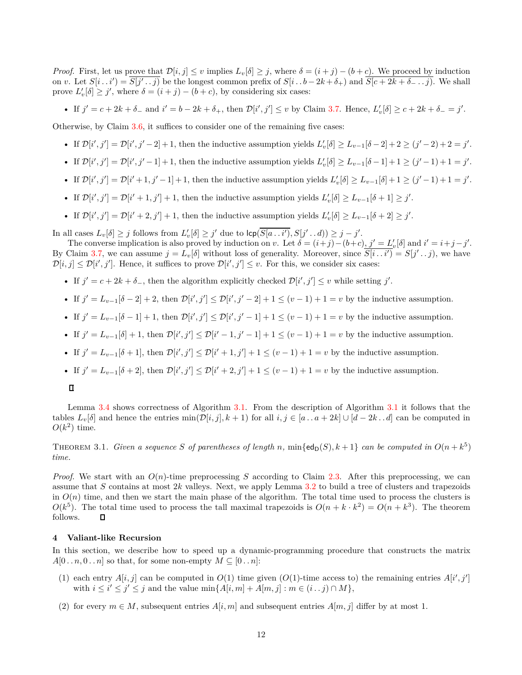*Proof.* First, let us prove that  $\mathcal{D}[i, j] \leq v$  implies  $L_v[\delta] \geq j$ , where  $\delta = (i + j) - (b + c)$ . We proceed by induction on v. Let  $S[i..i') = \overline{S[j'..j]}$  be the longest common prefix of  $S[i..b-2k+\delta_+)$  and  $\overline{S[c+2k+\delta_-\cdot,j]}$ . We shall prove  $L'_v[\delta] \geq j'$ , where  $\delta = (i + j) - (b + c)$ , by considering six cases:

• If  $j' = c + 2k + \delta_-$  and  $i' = b - 2k + \delta_+$ , then  $\mathcal{D}[i', j'] \le v$  by Claim [3.7.](#page-9-0) Hence,  $L'_v[\delta] \ge c + 2k + \delta_- = j'.$ 

Otherwise, by Claim [3.6,](#page-9-1) it suffices to consider one of the remaining five cases:

- If  $\mathcal{D}[i', j'] = \mathcal{D}[i', j' 2] + 1$ , then the inductive assumption yields  $L'_v[\delta] \ge L_{v-1}[\delta 2] + 2 \ge (j' 2) + 2 = j'$ .
- If  $\mathcal{D}[i',j'] = \mathcal{D}[i',j'-1]+1$ , then the inductive assumption yields  $L'_v[\delta] \ge L_{v-1}[\delta-1]+1 \ge (j'-1)+1 = j'$ .
- If  $\mathcal{D}[i',j'] = \mathcal{D}[i'+1,j'-1] + 1$ , then the inductive assumption yields  $L'_v[\delta] \ge L_{v-1}[\delta] + 1 \ge (j'-1) + 1 = j'$ .
- If  $\mathcal{D}[i', j'] = \mathcal{D}[i' + 1, j'] + 1$ , then the inductive assumption yields  $L'_v[\delta] \ge L_{v-1}[\delta + 1] \ge j'$ .
- If  $\mathcal{D}[i', j'] = \mathcal{D}[i' + 2, j'] + 1$ , then the inductive assumption yields  $L'_v[\delta] \ge L_{v-1}[\delta + 2] \ge j'$ .

In all cases  $L_v[\delta] \ge j$  follows from  $L'_v[\delta] \ge j'$  due to  $\textsf{lcp}(\overline{S[a \dots i')}, S[j' \dots d)) \ge j - j'$ .

The converse implication is also proved by induction on *v*. Let  $\delta = (i+j)-(b+c)$ ,  $j' = L'_v[\delta]$  and  $i' = i+j-j'$ . By Claim [3.7,](#page-9-0) we can assume  $j = L_v[\delta]$  without loss of generality. Moreover, since  $\overline{S[i\mathinner{.\,.} i']} = S[j' \mathinner{.\,.} j)$ , we have  $\mathcal{D}[i,j] \leq \mathcal{D}[i',j']$ . Hence, it suffices to prove  $\mathcal{D}[i',j'] \leq v$ . For this, we consider six cases:

- If  $j' = c + 2k + \delta_-,$  then the algorithm explicitly checked  $\mathcal{D}[i', j'] \leq v$  while setting  $j'$ .
- If  $j' = L_{v-1}[\delta 2] + 2$ , then  $\mathcal{D}[i', j'] \le \mathcal{D}[i', j' 2] + 1 \le (v 1) + 1 = v$  by the inductive assumption.
- If  $j' = L_{v-1}[\delta 1] + 1$ , then  $\mathcal{D}[i', j'] \le \mathcal{D}[i', j' 1] + 1 \le (v 1) + 1 = v$  by the inductive assumption.
- If  $j' = L_{v-1}[\delta] + 1$ , then  $\mathcal{D}[i', j'] \le \mathcal{D}[i' 1, j' 1] + 1 \le (v 1) + 1 = v$  by the inductive assumption.
- If  $j' = L_{v-1}[\delta + 1]$ , then  $\mathcal{D}[i', j'] \le \mathcal{D}[i' + 1, j'] + 1 \le (v 1) + 1 = v$  by the inductive assumption.
- If  $j' = L_{v-1}[\delta + 2]$ , then  $\mathcal{D}[i', j'] \le \mathcal{D}[i' + 2, j'] + 1 \le (v 1) + 1 = v$  by the inductive assumption.

Lemma [3.4](#page-10-3) shows correctness of Algorithm [3.1.](#page-10-2) From the description of Algorithm [3.1](#page-10-2) it follows that the tables  $L_v[\delta]$  and hence the entries min $(\mathcal{D}[i,j], k+1)$  for all  $i, j \in [a \dots a+2k] \cup [d-2k \dots d]$  can be computed in  $O(k^2)$  time.

THEOREM 3.1. *Given a sequence S* of parentheses of length *n*,  $\min\{\text{ed}_D(S), k+1\}$  *can be computed in*  $O(n+k^5)$ *time.*

*Proof.* We start with an  $O(n)$ -time preprocessing *S* according to Claim [2.3.](#page-5-3) After this preprocessing, we can assume that *S* contains at most 2*k* valleys. Next, we apply Lemma [3.2](#page-7-2) to build a tree of clusters and trapezoids in  $O(n)$  time, and then we start the main phase of the algorithm. The total time used to process the clusters is  $O(k^5)$ . The total time used to process the tall maximal trapezoids is  $O(n + k \cdot k^2) = O(n + k^3)$ . The theorem follows.

# <span id="page-11-0"></span>**4 Valiant-like Recursion**

In this section, we describe how to speed up a dynamic-programming procedure that constructs the matrix  $A[0 \dots n, 0 \dots n]$  so that, for some non-empty  $M \subseteq [0 \dots n]$ :

- <span id="page-11-1"></span>(1) each entry  $A[i, j]$  can be computed in  $O(1)$  time given  $(O(1)$ -time access to) the remaining entries  $A[i', j']$ with  $i \leq i' \leq j' \leq j$  and the value  $\min\{A[i, m] + A[m, j] : m \in (i \dots j) \cap M\},$
- <span id="page-11-2"></span>(2) for every  $m \in M$ , subsequent entries  $A[i, m]$  and subsequent entries  $A[m, j]$  differ by at most 1.

 $\Box$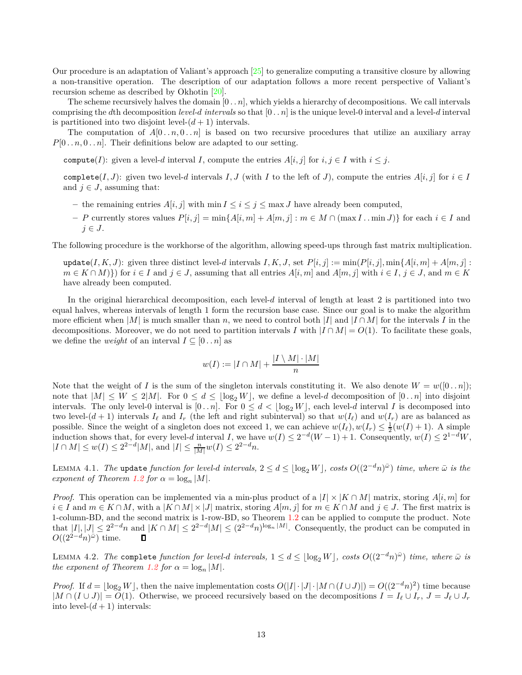Our procedure is an adaptation of Valiant's approach [\[25\]](#page-19-8) to generalize computing a transitive closure by allowing a non-transitive operation. The description of our adaptation follows a more recent perspective of Valiant's recursion scheme as described by Okhotin [\[20\]](#page-19-9).

The scheme recursively halves the domain [0 *. . n*], which yields a hierarchy of decompositions. We call intervals comprising the *d*th decomposition *level-d intervals* so that [0 *. . n*] is the unique level-0 interval and a level-*d* interval is partitioned into two disjoint level- $(d+1)$  intervals.

The computation of  $A[0..n,0..n]$  is based on two recursive procedures that utilize an auxiliary array  $P[0..n,0..n]$ . Their definitions below are adapted to our setting.

compute(*I*): given a level-*d* interval *I*, compute the entries  $A[i, j]$  for  $i, j \in I$  with  $i \leq j$ .

complete(*I, J*): given two level-*d* intervals *I, J* (with *I* to the left of *J*), compute the entries  $A[i, j]$  for  $i \in I$ and  $j \in J$ , assuming that:

- the remaining entries  $A[i, j]$  with min  $I \leq i \leq j \leq \max J$  have already been computed,
- **–** *P* currently stores values *P*[*i, j*] = min{*A*[*i, m*] + *A*[*m, j*] : *m* ∈ *M* ∩ (max *I . .* min *J*)} for each *i* ∈ *I* and *j* ∈ *J*.

The following procedure is the workhorse of the algorithm, allowing speed-ups through fast matrix multiplication.

update(*I, K, J*): given three distinct level-*d* intervals  $I, K, J$ , set  $P[i, j] := min(P[i, j], min\{A[i, m] + A[m, j]$ :  $m \in K \cap M$ }) for  $i \in I$  and  $j \in J$ , assuming that all entries  $A[i, m]$  and  $A[m, j]$  with  $i \in I$ ,  $j \in J$ , and  $m \in K$ have already been computed.

In the original hierarchical decomposition, each level-*d* interval of length at least 2 is partitioned into two equal halves, whereas intervals of length 1 form the recursion base case. Since our goal is to make the algorithm more efficient when  $|M|$  is much smaller than *n*, we need to control both |*I*| and  $|I \cap M|$  for the intervals *I* in the decompositions. Moreover, we do not need to partition intervals *I* with  $|I \cap M| = O(1)$ . To facilitate these goals, we define the *weight* of an interval  $I \subseteq [0..n]$  as

$$
w(I) := |I \cap M| + \frac{|I \setminus M| \cdot |M|}{n}
$$

Note that the weight of *I* is the sum of the singleton intervals constituting it. We also denote  $W = w([0..n])$ ; note that  $|M| \leq W \leq 2|M|$ . For  $0 \leq d \leq \lfloor \log_2 W \rfloor$ , we define a level-*d* decomposition of  $[0 \tcdot n]$  into disjoint intervals. The only level-0 interval is  $[0 \tcdot n]$ . For  $0 \leq d < |\log_2 W|$ , each level-*d* interval *I* is decomposed into two level- $(d + 1)$  intervals  $I_{\ell}$  and  $I_r$  (the left and right subinterval) so that  $w(I_{\ell})$  and  $w(I_r)$  are as balanced as possible. Since the weight of a singleton does not exceed 1, we can achieve  $w(I_{\ell}), w(I_r) \leq \frac{1}{2}(w(I) + 1)$ . A simple induction shows that, for every level-*d* interval *I*, we have  $w(I) \leq 2^{-d}(W-1) + 1$ . Consequently,  $w(I) \leq 2^{1-d}W$ ,  $|I \cap M| \leq w(I) \leq 2^{2-d}|M|$ , and  $|I| \leq \frac{n}{|M|}w(I) \leq 2^{2-d}n$ .

 $\Delta$  LEMMA 4.1. *The* update *function for level-d intervals,*  $2 \le d \le \lfloor \log_2 W \rfloor$ , costs  $O((2^{-d}n)^{\bar{\omega}})$  *time, where*  $\bar{\omega}$  *is the exponent of Theorem [1.2](#page-4-2) for*  $\alpha = \log_n |M|$ *.* 

*Proof.* This operation can be implemented via a min-plus product of a  $|I| \times |K \cap M|$  matrix, storing  $A[i, m]$  for *i* ∈ *I* and *m* ∈ *K* ∩ *M*, with a  $|K \cap M| \times |J|$  matrix, storing  $A[m, j]$  for  $m \in K \cap M$  and  $j \in J$ . The first matrix is 1-column-BD, and the second matrix is 1-row-BD, so Theorem [1.2](#page-4-2) can be applied to compute the product. Note that  $|I|, |J| \leq 2^{2-d}n$  and  $|K \cap M| \leq 2^{2-d}|M| \leq (2^{2-d}n)^{\log_n |M|}$ . Consequently, the product can be computed in  $O((2^{2-d}n)^{\bar{\omega}})$  time.

LEMMA 4.2. *The* complete *function for level-d intervals*,  $1 \le d \le \lfloor \log_2 W \rfloor$ , costs  $O((2^{-d}n)^{\bar{\omega}})$  *time, where*  $\bar{\omega}$  *is the exponent of Theorem [1.2](#page-4-2) for*  $\alpha = \log_n |M|$ *.* 

*Proof.* If  $d = \lfloor \log_2 W \rfloor$ , then the naive implementation costs  $O(|I| \cdot |J| \cdot |M \cap (I \cup J)|) = O((2^{-d}n)^2)$  time because  $|M \cap (I \cup J)| = O(1)$ . Otherwise, we proceed recursively based on the decompositions  $I = I_{\ell} \cup I_r$ ,  $J = J_{\ell} \cup J_r$ into level- $(d+1)$  intervals: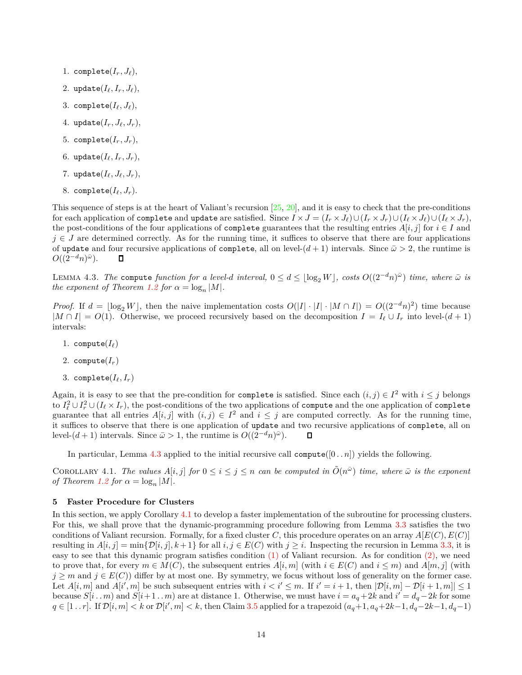- 1. complete $(I_r, J_\ell)$ ,
- 2. update $(I_{\ell}, I_r, J_{\ell}),$
- 3. complete $(I_{\ell}, J_{\ell})$ ,
- 4. update $(I_r, J_\ell, J_r)$ ,
- 5. complete $(I_r, J_r)$ ,
- 6. update $(I_{\ell}, I_r, J_r)$ ,
- 7. update $(I_{\ell}, J_{\ell}, J_r)$ ,
- 8. complete $(I_{\ell}, J_r)$ .

This sequence of steps is at the heart of Valiant's recursion  $[25, 20]$  $[25, 20]$  $[25, 20]$ , and it is easy to check that the pre-conditions for each application of complete and update are satisfied. Since  $I \times J = (I_r \times J_\ell) \cup (I_\ell \times J_r) \cup (I_\ell \times J_r) \cup (I_\ell \times J_r)$ the post-conditions of the four applications of complete guarantees that the resulting entries  $A[i, j]$  for  $i \in I$  and  $j \in J$  are determined correctly. As for the running time, it suffices to observe that there are four applications of update and four recursive applications of complete, all on level- $(d + 1)$  intervals. Since  $\bar{\omega} > 2$ , the runtime is  $O((2^{-d}n)^{\bar{\omega}}).$ П

<span id="page-13-1"></span>LEMMA 4.3. *The* compute *function for a level-d interval*,  $0 \le d \le \lfloor \log_2 W \rfloor$ , costs  $O((2^{-d}n)^{\bar{\omega}})$  *time, where*  $\bar{\omega}$  *is the exponent of Theorem [1.2](#page-4-2) for*  $\alpha = \log_n |M|$ *.* 

*Proof.* If  $d = \lfloor \log_2 W \rfloor$ , then the naive implementation costs  $O(|I| \cdot |I| \cdot |M \cap I|) = O((2^{-d}n)^2)$  time because  $|M \cap I| = O(1)$ . Otherwise, we proceed recursively based on the decomposition  $I = I_{\ell} \cup I_r$  into level- $(d+1)$ intervals:

- 1. compute $(I_\ell)$
- 2. compute $(I_r)$
- 3. complete $(I_{\ell}, I_r)$

Again, it is easy to see that the pre-condition for complete is satisfied. Since each  $(i, j) \in I^2$  with  $i \leq j$  belongs to  $I^2_\ell \cup I^2_r \cup (I_\ell \times I_r)$ , the post-conditions of the two applications of compute and the one application of complete guarantee that all entries  $A[i, j]$  with  $(i, j) \in I^2$  and  $i \leq j$  are computed correctly. As for the running time, it suffices to observe that there is one application of update and two recursive applications of complete, all on level- $(d+1)$  intervals. Since  $\bar{\omega} > 1$ , the runtime is  $O((2^{-d}n)^{\bar{\omega}})$ .

<span id="page-13-2"></span>In particular, Lemma [4.3](#page-13-1) applied to the initial recursive call compute( $[0..n]$ ) yields the following.

COROLLARY 4.1. *The values*  $A[i, j]$  *for*  $0 \le i \le j \le n$  *can be computed in*  $\tilde{O}(n^{\bar{\omega}})$  *time, where*  $\bar{\omega}$  *is the exponent of Theorem [1.2](#page-4-2) for*  $\alpha = \log_n |M|$ *.* 

## <span id="page-13-0"></span>**5 Faster Procedure for Clusters**

In this section, we apply Corollary [4.1](#page-13-2) to develop a faster implementation of the subroutine for processing clusters. For this, we shall prove that the dynamic-programming procedure following from Lemma [3.3](#page-8-1) satisfies the two conditions of Valiant recursion. Formally, for a fixed cluster *C*, this procedure operates on an array  $A[E(C), E(C)]$ resulting in  $A[i, j] = \min\{\mathcal{D}[i, j], k+1\}$  for all  $i, j \in E(C)$  with  $j \geq i$ . Inspecting the recursion in Lemma [3.3,](#page-8-1) it is easy to see that this dynamic program satisfies condition [\(1\)](#page-11-1) of Valiant recursion. As for condition [\(2\),](#page-11-2) we need to prove that, for every  $m \in M(C)$ , the subsequent entries  $A[i, m]$  (with  $i \in E(C)$  and  $i \leq m$ ) and  $A[m, j]$  (with  $j \geq m$  and  $j \in E(C)$ ) differ by at most one. By symmetry, we focus without loss of generality on the former case. Let  $A[i, m]$  and  $A[i', m]$  be such subsequent entries with  $i < i' \leq m$ . If  $i' = i + 1$ , then  $|\mathcal{D}[i, m] - \mathcal{D}[i + 1, m]| \leq 1$ because  $S[i \dots m]$  and  $S[i+1 \dots m]$  are at distance 1. Otherwise, we must have  $i = a_q + 2k$  and  $i' = d_q - 2k$  for some  $q \in [1 \tcdot r]$ . If  $\mathcal{D}[i,m] < k$  or  $\mathcal{D}[i',m] < k$ , then Claim [3.5](#page-8-0) applied for a trapezoid  $(a_q+1, a_q+2k-1, d_q-2k-1, d_q-1)$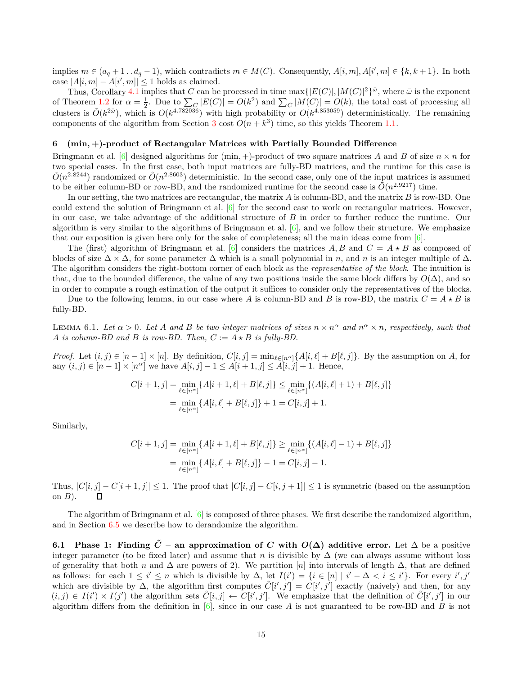implies  $m \in (a_q + 1 \cdot d_q - 1)$ , which contradicts  $m \in M(C)$ . Consequently,  $A[i, m], A[i', m] \in \{k, k + 1\}$ . In both case  $|A[i, m] - A[i', m]| \le 1$  holds as claimed.

Thus, Corollary [4.1](#page-13-2) implies that *C* can be processed in time  $\max\{|E(C)|, |M(C)|^2\}^{\bar{\omega}}$ , where  $\bar{\omega}$  is the exponent of Theorem [1.2](#page-4-2) for  $\alpha = \frac{1}{2}$ . Due to  $\sum_{C} |E(C)| = O(k^2)$  and  $\sum_{C} |M(C)| = O(k)$ , the total cost of processing all clusters is  $\tilde{O}(k^{2\bar{\omega}})$ , which is  $O(k^{4.782036})$  with high probability or  $O(k^{4.853059})$  deterministically. The remaining components of the algorithm from Section [3](#page-6-0) cost  $O(n + k^3)$  time, so this yields Theorem [1.1.](#page-1-2)

### <span id="page-14-0"></span>**6 (min***,* **+)-product of Rectangular Matrices with Partially Bounded Difference**

Bringmann et al. [\[6\]](#page-18-3) designed algorithms for  $(\min, +)$ -product of two square matrices *A* and *B* of size  $n \times n$  for two special cases. In the first case, both input matrices are fully-BD matrices, and the runtime for this case is  $\tilde{O}(n^{2.8244})$  randomized or  $\tilde{O}(n^{2.8603})$  deterministic. In the second case, only one of the input matrices is assumed to be either column-BD or row-BD, and the randomized runtime for the second case is  $\tilde{O}(n^{2.9217})$  time.

In our setting, the two matrices are rectangular, the matrix *A* is column-BD, and the matrix *B* is row-BD. One could extend the solution of Bringmann et al. [\[6\]](#page-18-3) for the second case to work on rectangular matrices. However, in our case, we take advantage of the additional structure of *B* in order to further reduce the runtime. Our algorithm is very similar to the algorithms of Bringmann et al.  $[6]$ , and we follow their structure. We emphasize that our exposition is given here only for the sake of completeness; all the main ideas come from [\[6\]](#page-18-3).

The (first) algorithm of Bringmann et al. [\[6\]](#page-18-3) considers the matrices  $A, B$  and  $C = A \star B$  as composed of blocks of size  $\Delta \times \Delta$ , for some parameter  $\Delta$  which is a small polynomial in *n*, and *n* is an integer multiple of  $\Delta$ . The algorithm considers the right-bottom corner of each block as the *representative of the block*. The intuition is that, due to the bounded difference, the value of any two positions inside the same block differs by  $O(\Delta)$ , and so in order to compute a rough estimation of the output it suffices to consider only the representatives of the blocks.

<span id="page-14-1"></span>Due to the following lemma, in our case where *A* is column-BD and *B* is row-BD, the matrix  $C = A \star B$  is fully-BD.

LEMMA 6.1. Let  $\alpha > 0$ . Let A and B be two integer matrices of sizes  $n \times n^{\alpha}$  and  $n^{\alpha} \times n$ , respectively, such that *A is column-BD and B is row-BD. Then,*  $C := A \star B$  *is fully-BD.* 

*Proof.* Let  $(i, j) \in [n-1] \times [n]$ . By definition,  $C[i, j] = \min_{\ell \in [n^{\alpha}]} \{A[i, \ell] + B[\ell, j]\}$ . By the assumption on *A*, for any  $(i, j) \in [n-1] \times [n^{\alpha}]$  we have  $A[i, j] - 1 \leq A[i + 1, j] \leq A[i, j] + 1$ . Hence,

$$
C[i+1,j] = \min_{\ell \in [n^{\alpha}]} \{ A[i+1,\ell] + B[\ell,j] \} \le \min_{\ell \in [n^{\alpha}]} \{ (A[i,\ell]+1) + B[\ell,j] \}
$$
  
= 
$$
\min_{\ell \in [n^{\alpha}]} \{ A[i,\ell] + B[\ell,j] \} + 1 = C[i,j] + 1.
$$

Similarly,

$$
C[i+1,j] = \min_{\ell \in [n^{\alpha}]} \{ A[i+1,\ell] + B[\ell,j] \} \ge \min_{\ell \in [n^{\alpha}]} \{ (A[i,\ell]-1) + B[\ell,j] \}
$$
  
= 
$$
\min_{\ell \in [n^{\alpha}]} \{ A[i,\ell] + B[\ell,j] \} - 1 = C[i,j] - 1.
$$

Thus,  $|C[i, j] - C[i + 1, j]| \leq 1$ . The proof that  $|C[i, j] - C[i, j + 1]| \leq 1$  is symmetric (based on the assumption on *B*).

The algorithm of Bringmann et al. [\[6\]](#page-18-3) is composed of three phases. We first describe the randomized algorithm, and in Section [6.5](#page-17-0) we describe how to derandomize the algorithm.

**6.1 Phase 1: Finding**  $\tilde{C}$  – an approximation of *C* with  $O(\Delta)$  additive error. Let  $\Delta$  be a positive integer parameter (to be fixed later) and assume that *n* is divisible by ∆ (we can always assume without loss of generality that both *n* and  $\Delta$  are powers of 2). We partition [*n*] into intervals of length  $\Delta$ , that are defined as follows: for each  $1 \leq i' \leq n$  which is divisible by  $\Delta$ , let  $I(i') = \{i \in [n] \mid i' - \Delta < i \leq i'\}$ . For every  $i', j'$ which are divisible by  $\Delta$ , the algorithm first computes  $\tilde{C}[i',j'] = C[i',j']$  exactly (naively) and then, for any  $(i, j) \in I(i') \times I(j')$  the algorithm sets  $\tilde{C}[i, j] \leftarrow C[i', j']$ . We emphasize that the definition of  $\tilde{C}[i', j']$  in our algorithm differs from the definition in  $[6]$ , since in our case *A* is not guaranteed to be row-BD and *B* is not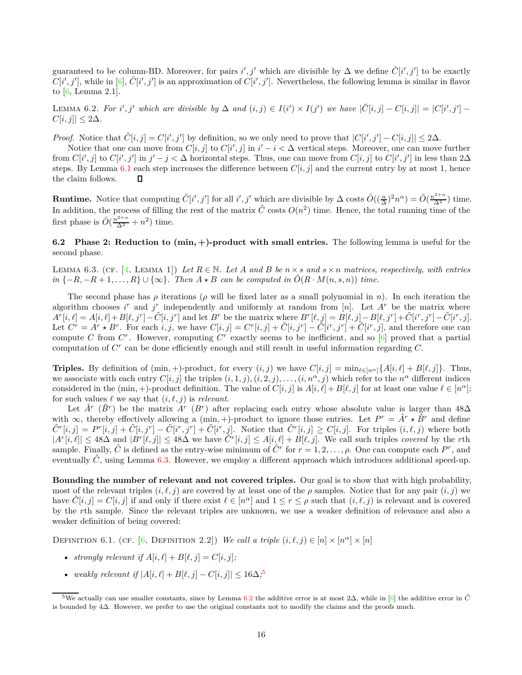guaranteed to be column-BD. Moreover, for pairs *i'*, *j'* which are divisible by  $\Delta$  we define  $\tilde{C}[i',j']$  to be exactly  $C[i', j']$ , while in [\[6\]](#page-18-3),  $\tilde{C}[i', j']$  is an approximation of  $C[i', j']$ . Nevertheless, the following lemma is similar in flavor to  $[6, \text{Lemma } 2.1].$ 

<span id="page-15-2"></span>LEMMA 6.2. For  $i', j'$  which are divisible by  $\Delta$  and  $(i, j) \in I(i') \times I(j')$  we have  $|\tilde{C}[i, j] - C[i, j]| = |C[i', j'] - I(i')|$  $C[i, j]$ | ≤ 2∆.

*Proof.* Notice that  $\tilde{C}[i,j] = C[i',j']$  by definition, so we only need to prove that  $|C[i',j'] - C[i,j]| \leq 2\Delta$ .

Notice that one can move from  $C[i, j]$  to  $C[i', j]$  in  $i' - i < \Delta$  vertical steps. Moreover, one can move further from  $C[i', j]$  to  $C[i', j']$  in  $j' - j < \Delta$  horizontal steps. Thus, one can move from  $C[i, j]$  to  $C[i', j']$  in less than  $2\Delta$ steps. By Lemma  $6.1$  each step increases the difference between  $C[i, j]$  and the current entry by at most 1, hence the claim follows.  $\Box$ 

**Runtime.** Notice that computing  $\tilde{C}[i',j']$  for all  $i',j'$  which are divisible by  $\Delta$  costs  $\tilde{O}((\frac{n}{\Delta})^2 n^{\alpha}) = \tilde{O}(\frac{n^{2+\alpha}}{\Delta^2})$  time. In addition, the process of filling the rest of the matrix  $\tilde{C}$  costs  $O(n^2)$  time. Hence, the total running time of the first phase is  $\tilde{O}(\frac{n^{2+\alpha}}{\Delta^2}+n^2)$  time.

<span id="page-15-0"></span>**6.2 Phase 2: Reduction to (min***,* **+)-product with small entries.** The following lemma is useful for the second phase.

LEMMA 6.3. (CF.  $[4, \text{LEMMA } 1]$ ) Let  $R \in \mathbb{N}$ . Let A and B be  $n \times s$  and  $s \times n$  matrices, respectively, with entries *in*  ${−R, -R + 1, \ldots, R} ∪ (∞}.$  *Then*  $A \star B$  *can be computed in*  $O(R \cdot M(n, s, n))$  *time.* 

The second phase has  $\rho$  iterations ( $\rho$  will be fixed later as a small polynomial in *n*). In each iteration the algorithm chooses  $i^r$  and  $j^r$  independently and uniformly at random from [*n*]. Let  $A^r$  be the matrix where  $A^r[i, \ell] = A[i, \ell] + B[\ell, j^r] - \tilde{C}[i, j^r]$  and let  $B^r$  be the matrix where  $B^r[\ell, j] = B[\ell, j] - B[\ell, j^r] + \tilde{C}[i^r, j^r] - \tilde{C}[i^r, j]$ . Let  $C^r = A^r * B^r$ . For each i, j, we have  $C[i, j] = C^r[i, j] + \tilde{C}[i, j^r] - \tilde{C}[i^r, j^r] + \tilde{C}[i^r, j]$ , and therefore one can compute *C* from  $C^r$ . However, computing  $C^r$  exactly seems to be inefficient, and so  $[6]$  proved that a partial computation of  $C<sup>r</sup>$  can be done efficiently enough and still result in useful information regarding  $C$ .

**Triples.** By definition of  $(\min, +)$ -product, for every  $(i, j)$  we have  $C[i, j] = \min_{\ell \in [n]}\{A[i, \ell] + B[\ell, j]\}$ . Thus, we associate with each entry  $C[i, j]$  the triples  $(i, 1, j), (i, 2, j), \ldots, (i, n^{\alpha}, j)$  which refer to the  $n^{\alpha}$  different indices considered in the  $(\min, +)$ -product definition. The value of  $C[i, j]$  is  $A[i, \ell] + B[\ell, j]$  for at least one value  $\ell \in [n^{\alpha}]$ ; for such values  $\ell$  we say that  $(i, \ell, j)$  is *relevant*.

Let  $\hat{A}^r$  ( $\hat{B}^r$ ) be the matrix  $\hat{A}^r$  ( $B^r$ ) after replacing each entry whose absolute value is larger than 48 $\Delta$ with  $\infty$ , thereby effectively allowing a (min, +)-product to ignore those entries. Let  $P^r = \hat{A}^r \star \hat{B}^r$  and define  $\hat{C}^r[i,j] = P^r[i,j] + \tilde{C}[i,j^r] - \tilde{C}[i^r,j^r] + \tilde{C}[i^r,j].$  Notice that  $\hat{C}^r[i,j] \geq C[i,j]$ . For triples  $(i,\ell,j)$  where both  $|A^r[i, \ell]| \leq 48\Delta$  and  $|B^r[\ell, j]| \leq 48\Delta$  we have  $\hat{C}^r[i, j] \leq A[i, \ell] + B[\ell, j]$ . We call such triples *covered* by the *r*th sample. Finally,  $\hat{C}$  is defined as the entry-wise minimum of  $\hat{C}^r$  for  $r = 1, 2, \ldots, \rho$ . One can compute each  $P^r$ , and eventually  $\hat{C}$ , using Lemma [6.3.](#page-15-0) However, we employ a different approach which introduces additional speed-up.

**Bounding the number of relevant and not covered triples.** Our goal is to show that with high probability, most of the relevant triples  $(i, \ell, j)$  are covered by at least one of the  $\rho$  samples. Notice that for any pair  $(i, j)$  we have  $\hat{C}[i,j] = C[i,j]$  if and only if there exist  $\ell \in [n^{\alpha}]$  and  $1 \leq r \leq \rho$  such that  $(i,\ell,j)$  is relevant and is covered by the *r*th sample. Since the relevant triples are unknown, we use a weaker definition of relevance and also a weaker definition of being covered:

DEFINITION 6.1. (CF. [\[6,](#page-18-3) DEFINITION 2.2]) *We call a triple*  $(i, \ell, j) \in [n] \times [n^{\alpha}] \times [n]$ 

- *strongly relevant if*  $A[i, \ell] + B[\ell, j] = C[i, j]$ ;
- *weakly relevant if*  $|A[i, \ell] + B[\ell, j] C[i, j]| \leq 16\Delta^{5}$  $|A[i, \ell] + B[\ell, j] C[i, j]| \leq 16\Delta^{5}$  $|A[i, \ell] + B[\ell, j] C[i, j]| \leq 16\Delta^{5}$

<span id="page-15-1"></span> $5$ We actually can use smaller constants, since by Lemma [6.2](#page-15-2) the additive error is at most 2 $\Delta$ , while in [\[6\]](#page-18-3) the additive error in  $\tilde{C}$ is bounded by 4∆. However, we prefer to use the original constants not to modify the claims and the proofs much.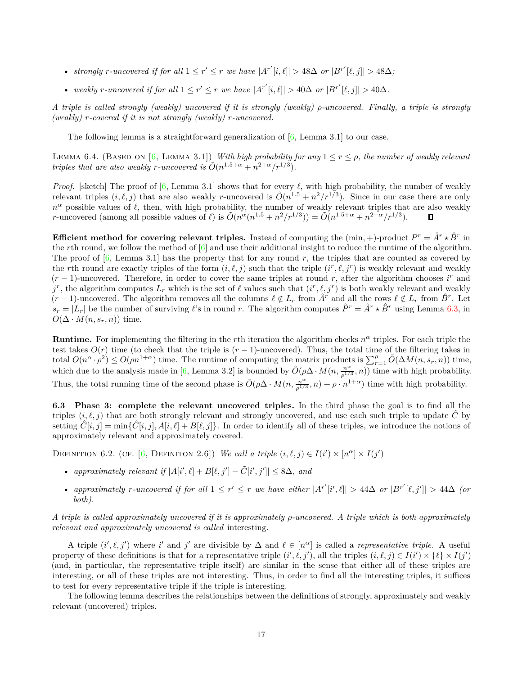- *strongly r*<sup>*-uncovered if for all*  $1 \le r' \le r$  *we have*  $|A^{r'}[i, \ell]| > 48\Delta$  *or*  $|B^{r'}[\ell, j]| > 48\Delta$ ;</sup>
- *weakly r*-uncovered if for all  $1 \leq r' \leq r$  *we have*  $|A^{r'}[i, \ell]| > 40\Delta$  *or*  $|B^{r'}[\ell, j]| > 40\Delta$ *.*

*A triple is called strongly (weakly) uncovered if it is strongly (weakly) ρ-uncovered. Finally, a triple is strongly (weakly) r-covered if it is not strongly (weakly) r-uncovered.*

<span id="page-16-1"></span>The following lemma is a straightforward generalization of [\[6,](#page-18-3) Lemma 3.1] to our case.

LEMMA 6.4. (BASED ON [\[6,](#page-18-3) LEMMA 3.1]) *With high probability for any*  $1 \leq r \leq \rho$ *, the number of weakly relevant triples that are also weakly r-uncovered is*  $O(n^{1.5+\alpha} + n^{2+\alpha}/r^{1/3})$ .

*Proof.* [sketch] The proof of [\[6,](#page-18-3) Lemma 3.1] shows that for every *ℓ*, with high probability, the number of weakly relevant triples  $(i, \ell, j)$  that are also weakly *r*-uncovered is  $\tilde{O}(n^{1.5} + n^2/r^{1/3})$ . Since in our case there are only *n <sup>α</sup>* possible values of *ℓ*, then, with high probability, the number of weakly relevant triples that are also weakly *r*-uncovered (among all possible values of  $\ell$ ) is  $\tilde{O}(n^{\alpha}(n^{1.5} + n^2/r^{1/3})) = \tilde{O}(n^{1.5+\alpha} + n^{2+\alpha}/r^{1/3}).$ 

**Efficient method for covering relevant triples.** Instead of computing the  $(\min, +)$ -product  $P^r = \hat{A}^r \star \hat{B}^r$  in the *r*th round, we follow the method of [\[6\]](#page-18-3) and use their additional insight to reduce the runtime of the algorithm. The proof of  $[6, \text{Lemma 3.1}]$  has the property that for any round r, the triples that are counted as covered by the *r*th round are exactly triples of the form  $(i, \ell, j)$  such that the triple  $(i^r, \ell, j^r)$  is weakly relevant and weakly  $(r-1)$ -uncovered. Therefore, in order to cover the same triples at round *r*, after the algorithm chooses *i*<sup>*r*</sup> and  $j^r$ , the algorithm computes  $L_r$  which is the set of  $\ell$  values such that  $(i^r, \ell, j^r)$  is both weakly relevant and weakly  $(r-1)$ -uncovered. The algorithm removes all the columns  $\ell \notin L_r$  from  $\hat{A}^r$  and all the rows  $\ell \notin L_r$  from  $\hat{B}^r$ . Let  $s_r = |L_r|$  be the number of surviving *ℓ*'s in round *r*. The algorithm computes  $\hat{P}^r = \hat{A}^r \star \hat{B}^r$  using Lemma [6.3,](#page-15-0) in  $O(\Delta \cdot M(n, s_r, n))$  time.

**Runtime.** For implementing the filtering in the *r*th iteration the algorithm checks *n <sup>α</sup>* triples. For each triple the test takes  $O(r)$  time (to check that the triple is  $(r-1)$ -uncovered). Thus, the total time of the filtering takes in  $\text{total } O(n^{\alpha} \cdot \rho^2) \leq O(\rho n^{1+\alpha})$  time. The runtime of computing the matrix products is  $\sum_{r=1}^{\rho} \tilde{O}(\Delta M(n, s_r, n))$  time, which due to the analysis made in [\[6,](#page-18-3) Lemma 3.2] is bounded by  $\tilde{O}(\rho \Delta \cdot M(n, \frac{n^{\alpha}}{\rho^{1/\beta}}))$  $\left(\frac{n^{\alpha}}{\rho^{1/3}},n\right)$  time with high probability. Thus, the total running time of the second phase is  $\tilde{O}(\rho \Delta \cdot M(n, \frac{n^{\alpha}}{\rho^{1/\beta}}))$  $\frac{n^{\alpha}}{\rho^{1/3}}$ , *n*) +  $\rho \cdot n^{1+\alpha}$  time with high probability.

**6.3 Phase 3: complete the relevant uncovered triples.** In the third phase the goal is to find all the triples  $(i, \ell, j)$  that are both strongly relevant and strongly uncovered, and use each such triple to update *C* by setting  $\hat{C}[i, j] = \min{\{\hat{C}[i, j], A[i, \ell] + B[\ell, j]\}}$ . In order to identify all of these triples, we introduce the notions of approximately relevant and approximately covered.

DEFINITION 6.2. (CF.  $[6,$  DEFINITON 2.6]) *We call a triple*  $(i, \ell, j) \in I(i') \times [n^{\alpha}] \times I(j')$ 

- <span id="page-16-0"></span>• *approximately relevant if*  $|A[i', \ell] + B[\ell, j'] - \tilde{C}[i', j']| \leq 8\Delta$ , and
- approximately r-uncovered if for all  $1 \leq r' \leq r$  we have either  $|A^{r'}[i', \ell]| > 44\Delta$  or  $|B^{r'}[\ell, j']| > 44\Delta$  (or *both).*

*A triple is called approximately uncovered if it is approximately ρ-uncovered. A triple which is both approximately relevant and approximately uncovered is called* interesting*.*

A triple  $(i', \ell, j')$  where *i*' and *j*' are divisible by  $\Delta$  and  $\ell \in [n^{\alpha}]$  is called a *representative triple*. A useful property of these definitions is that for a representative triple  $(i', \ell, j')$ , all the triples  $(i, \ell, j) \in I(i') \times \{\ell\} \times I(j')$ (and, in particular, the representative triple itself) are similar in the sense that either all of these triples are interesting, or all of these triples are not interesting. Thus, in order to find all the interesting triples, it suffices to test for every representative triple if the triple is interesting.

<span id="page-16-2"></span>The following lemma describes the relationships between the definitions of strongly, approximately and weakly relevant (uncovered) triples.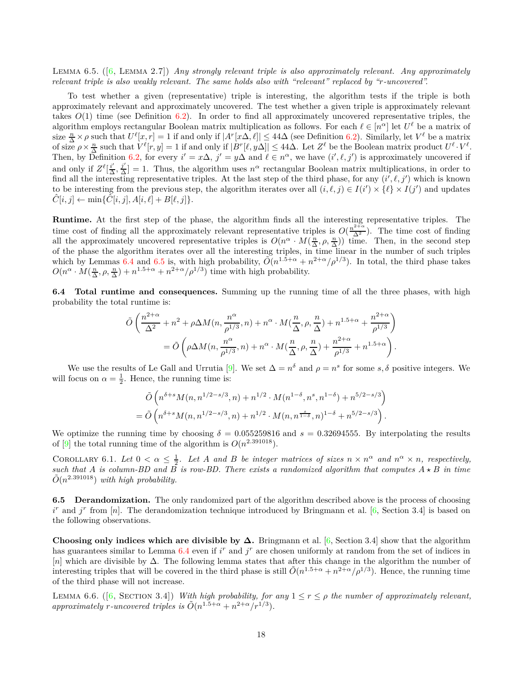Lemma 6.5. ([\[6,](#page-18-3) Lemma 2.7]) *Any strongly relevant triple is also approximately relevant. Any approximately relevant triple is also weakly relevant. The same holds also with "relevant" replaced by "r-uncovered".*

To test whether a given (representative) triple is interesting, the algorithm tests if the triple is both approximately relevant and approximately uncovered. The test whether a given triple is approximately relevant takes  $O(1)$  time (see Definition [6.2\)](#page-16-0). In order to find all approximately uncovered representative triples, the algorithm employs rectangular Boolean matrix multiplication as follows. For each  $\ell \in [n^{\alpha}]$  let  $U^{\ell}$  be a matrix of size  $\frac{n}{\Delta} \times \rho$  such that  $U^{\ell}[x, r] = 1$  if and only if  $|A^{r}[x\Delta, \ell]| \leq 44\Delta$  (see Definition [6.2\)](#page-16-0). Similarly, let  $V^{\ell}$  be a matrix of size  $\rho \times \frac{n}{\Delta}$  such that  $V^{\ell}[r, y] = 1$  if and only if  $|B^{r}[\ell, y\Delta]| \leq 44\Delta$ . Let  $Z^{\ell}$  be the Boolean matrix product  $U^{\ell} \cdot V^{\ell}$ . Then, by Definition [6.2,](#page-16-0) for every  $i' = x\Delta$ ,  $j' = y\Delta$  and  $\ell \in n^{\alpha}$ , we have  $(i', \ell, j')$  is approximately uncovered if and only if  $Z^{\ell}[\frac{i'}{\Delta}, \frac{j'}{\Delta}] = 1$ . Thus, the algorithm uses  $n^{\alpha}$  rectangular Boolean matrix multiplications, in order to find all the interesting representative triples. At the last step of the third phase, for any  $(i', \ell, j')$  which is known to be interesting from the previous step, the algorithm iterates over all  $(i, \ell, j) \in I(i') \times \{\ell\} \times I(j')$  and updates  $\hat{C}[i, j] \leftarrow \min{\{\hat{C}[i, j], A[i, \ell] + B[\ell, j]\}}.$ 

**Runtime.** At the first step of the phase, the algorithm finds all the interesting representative triples. The time cost of finding all the approximately relevant representative triples is  $O(\frac{n^{2+\alpha}}{\Delta^2})$ . The time cost of finding all the approximately uncovered representative triples is  $O(n^{\alpha} \cdot M(\frac{n}{\Delta}, \rho, \frac{n}{\Delta}))$  time. Then, in the second step of the phase the algorithm iterates over all the interesting triples, in time linear in the number of such triples which by Lemmas [6.4](#page-16-1) and [6.5](#page-16-2) is, with high probability,  $O(n^{1.5+\alpha} + n^{2+\alpha}/\rho^{1/3})$ . In total, the third phase takes  $O(n^{\alpha} \cdot M(\frac{n}{\Delta}, \rho, \frac{n}{\Delta}) + n^{1.5+\alpha} + n^{2+\alpha}/\rho^{1/3})$  time with high probability.

<span id="page-17-2"></span>**6.4** Total runtime and consequences. Summing up the running time of all the three phases, with high probability the total runtime is:

$$
\tilde{O}\left(\frac{n^{2+\alpha}}{\Delta^2} + n^2 + \rho \Delta M(n, \frac{n^{\alpha}}{\rho^{1/3}}, n) + n^{\alpha} \cdot M(\frac{n}{\Delta}, \rho, \frac{n}{\Delta}) + n^{1.5+\alpha} + \frac{n^{2+\alpha}}{\rho^{1/3}}\right)
$$
  
= 
$$
\tilde{O}\left(\rho \Delta M(n, \frac{n^{\alpha}}{\rho^{1/3}}, n) + n^{\alpha} \cdot M(\frac{n}{\Delta}, \rho, \frac{n}{\Delta}) + \frac{n^{2+\alpha}}{\rho^{1/3}} + n^{1.5+\alpha}\right).
$$

We use the results of Le Gall and Urrutia [\[9\]](#page-18-6). We set  $\Delta = n^{\delta}$  and  $\rho = n^s$  for some *s*,  $\delta$  positive integers. We will focus on  $\alpha = \frac{1}{2}$ . Hence, the running time is:

$$
\tilde{O}\left(n^{\delta+s}M(n,n^{1/2-s/3},n)+n^{1/2}\cdot M(n^{1-\delta},n^s,n^{1-\delta})+n^{5/2-s/3}\right)
$$
  
=  $\tilde{O}\left(n^{\delta+s}M(n,n^{1/2-s/3},n)+n^{1/2}\cdot M(n,n^{\frac{s}{1-\delta}},n)^{1-\delta}+n^{5/2-s/3}\right).$ 

<span id="page-17-3"></span>We optimize the running time by choosing  $\delta = 0.055259816$  and  $s = 0.32694555$ . By interpolating the results of  $[9]$  the total running time of the algorithm is  $O(n^{2.391018})$ .

COROLLARY 6.1. Let  $0 < \alpha \leq \frac{1}{2}$ . Let A and B be integer matrices of sizes  $n \times n^{\alpha}$  and  $n^{\alpha} \times n$ , respectively, such that *A* is column-BD and  $\overrightarrow{B}$  is row-BD. There exists a randomized algorithm that computes  $A \star B$  in time  $\tilde{O}(n^{2.391018})$  *with high probability.* 

<span id="page-17-0"></span>**6.5 Derandomization.** The only randomized part of the algorithm described above is the process of choosing  $i^r$  and  $j^r$  from [*n*]. The derandomization technique introduced by Bringmann et al. [\[6,](#page-18-3) Section 3.4] is based on the following observations.

**Choosing only indices which are divisible by ∆.** Bringmann et al. [\[6,](#page-18-3) Section 3.4] show that the algorithm has guarantees similar to Lemma [6.4](#page-16-1) even if  $i^r$  and  $j^r$  are chosen uniformly at random from the set of indices in [*n*] which are divisible by ∆. The following lemma states that after this change in the algorithm the number of interesting triples that will be covered in the third phase is still  $\tilde{O}(n^{1.5+\alpha}+n^{2+\alpha}/\rho^{1/3})$ . Hence, the running time of the third phase will not increase.

<span id="page-17-1"></span>LEMMA 6.6. ([\[6,](#page-18-3) SECTION 3.4]) *With high probability, for any*  $1 \leq r \leq \rho$  *the number of approximately relevant, approximately r-uncovered triples is*  $\tilde{O}(n^{1.5+\alpha} + n^{2+\alpha}/r^{1/3})$ *.*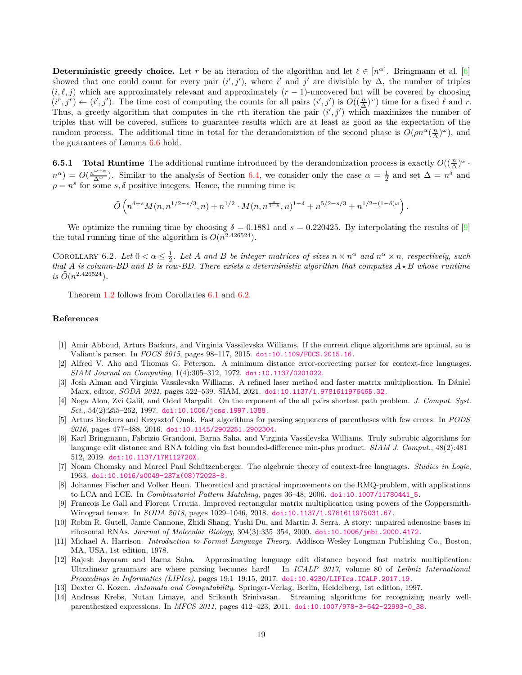**Deterministic greedy choice.** Let *r* be an iteration of the algorithm and let  $\ell \in [n^{\alpha}]$ . Bringmann et al. [\[6\]](#page-18-3) showed that one could count for every pair  $(i', j')$ , where *i*<sup>'</sup> and *j*<sup>'</sup> are divisible by  $\Delta$ , the number of triples  $(i, \ell, j)$  which are approximately relevant and approximately  $(r - 1)$ -uncovered but will be covered by choosing  $(i', j') \leftarrow (i', j')$ . The time cost of computing the counts for all pairs  $(i', j')$  is  $O((\frac{n}{\Delta})^{\omega})$  time for a fixed  $\ell$  and r. Thus, a greedy algorithm that computes in the *r*th iteration the pair  $(i', j')$  which maximizes the number of triples that will be covered, suffices to guarantee results which are at least as good as the expectation of the random process. The additional time in total for the derandomiztion of the second phase is  $O(\rho n^{\alpha}(\frac{n}{\Delta})^{\omega})$ , and the guarantees of Lemma [6.6](#page-17-1) hold.

**6.5.1 Total Runtime** The additional runtime introduced by the derandomization process is exactly  $O((\frac{n}{\Delta})^{\omega} \cdot$  $n^{\alpha}$ ) =  $O(\frac{n^{\omega+\alpha}}{\Delta^{\omega}})$ . Similar to the analysis of Section [6.4,](#page-17-2) we consider only the case  $\alpha = \frac{1}{2}$  and set  $\Delta = n^{\delta}$  and  $\rho = n^s$  for some *s*,  $\delta$  positive integers. Hence, the running time is:

$$
\tilde{O}\left(n^{\delta+s}M(n,n^{1/2-s/3},n)+n^{1/2}\cdot M(n,n^{\frac{s}{1-\delta}},n)^{1-\delta}+n^{5/2-s/3}+n^{1/2+(1-\delta)\omega}\right).
$$

<span id="page-18-9"></span>We optimize the running time by choosing  $\delta = 0.1881$  and  $s = 0.220425$ . By interpolating the results of [\[9\]](#page-18-6) the total running time of the algorithm is  $O(n^{2.426524})$ .

COROLLARY 6.2. Let  $0 < \alpha \leq \frac{1}{2}$ . Let A and B be integer matrices of sizes  $n \times n^{\alpha}$  and  $n^{\alpha} \times n$ , respectively, such *that A is column-BD and B is row-BD. There exists a deterministic algorithm that computes*  $A \star B$  *whose runtime is*  $\tilde{O}(n^{2.426524})$ *.* 

Theorem [1.2](#page-4-2) follows from Corollaries [6.1](#page-17-3) and [6.2.](#page-18-9)

#### **References**

- [1] Amir Abboud, Arturs Backurs, and Virginia Vassilevska Williams. If the current clique algorithms are optimal, so is Valiant's parser. In *FOCS 2015*, pages 98–117, 2015. [doi:10.1109/FOCS.2015.16](http://dx.doi.org/10.1109/FOCS.2015.16).
- [2] Alfred V. Aho and Thomas G. Peterson. A minimum distance error-correcting parser for context-free languages. *SIAM Journal on Computing*, 1(4):305–312, 1972. [doi:10.1137/0201022](http://dx.doi.org/10.1137/0201022).
- <span id="page-18-7"></span>[3] Josh Alman and Virginia Vassilevska Williams. A refined laser method and faster matrix multiplication. In Dániel Marx, editor, *SODA 2021*, pages 522–539. SIAM, 2021. [doi:10.1137/1.9781611976465.32](http://dx.doi.org/10.1137/1.9781611976465.32).
- <span id="page-18-8"></span>[4] Noga Alon, Zvi Galil, and Oded Margalit. On the exponent of the all pairs shortest path problem. *J. Comput. Syst. Sci.*, 54(2):255–262, 1997. [doi:10.1006/jcss.1997.1388](http://dx.doi.org/10.1006/jcss.1997.1388).
- <span id="page-18-5"></span>[5] Arturs Backurs and Krzysztof Onak. Fast algorithms for parsing sequences of parentheses with few errors. In *PODS 2016*, pages 477–488, 2016. [doi:10.1145/2902251.2902304](http://dx.doi.org/10.1145/2902251.2902304).
- <span id="page-18-3"></span>[6] Karl Bringmann, Fabrizio Grandoni, Barna Saha, and Virginia Vassilevska Williams. Truly subcubic algorithms for language edit distance and RNA folding via fast bounded-difference min-plus product. *SIAM J. Comput.*, 48(2):481– 512, 2019. [doi:10.1137/17M112720X](http://dx.doi.org/10.1137/17M112720X).
- <span id="page-18-0"></span>[7] Noam Chomsky and Marcel Paul Schützenberger. The algebraic theory of context-free languages. *Studies in Logic*, 1963. [doi:10.1016/s0049-237x\(08\)72023-8](http://dx.doi.org/10.1016/s0049-237x(08)72023-8).
- [8] Johannes Fischer and Volker Heun. Theoretical and practical improvements on the RMQ-problem, with applications to LCA and LCE. In *Combinatorial Pattern Matching*, pages 36–48, 2006. [doi:10.1007/11780441\\_5](http://dx.doi.org/10.1007/11780441_5).
- <span id="page-18-6"></span>[9] Francois Le Gall and Florent Urrutia. Improved rectangular matrix multiplication using powers of the Coppersmith-Winograd tensor. In *SODA 2018*, pages 1029–1046, 2018. [doi:10.1137/1.9781611975031.67](http://dx.doi.org/10.1137/1.9781611975031.67).
- <span id="page-18-2"></span>[10] Robin R. Gutell, Jamie Cannone, Zhidi Shang, Yushi Du, and Martin J. Serra. A story: unpaired adenosine bases in ribosomal RNAs. *Journal of Molecular Biology*, 304(3):335–354, 2000. [doi:10.1006/jmbi.2000.4172](http://dx.doi.org/10.1006/jmbi.2000.4172).
- <span id="page-18-1"></span>[11] Michael A. Harrison. *Introduction to Formal Language Theory*. Addison-Wesley Longman Publishing Co., Boston, MA, USA, 1st edition, 1978.
- <span id="page-18-4"></span>[12] Rajesh Jayaram and Barna Saha. Approximating language edit distance beyond fast matrix multiplication: Ultralinear grammars are where parsing becomes hard! In *ICALP 2017*, volume 80 of *Leibniz International Proceedings in Informatics (LIPIcs)*, pages 19:1–19:15, 2017. [doi:10.4230/LIPIcs.ICALP.2017.19](http://dx.doi.org/10.4230/LIPIcs.ICALP.2017.19).
- [13] Dexter C. Kozen. *Automata and Computability*. Springer-Verlag, Berlin, Heidelberg, 1st edition, 1997.
- [14] Andreas Krebs, Nutan Limaye, and Srikanth Srinivasan. Streaming algorithms for recognizing nearly wellparenthesized expressions. In *MFCS 2011*, pages 412–423, 2011. [doi:10.1007/978-3-642-22993-0\\_38](http://dx.doi.org/10.1007/978-3-642-22993-0_38).